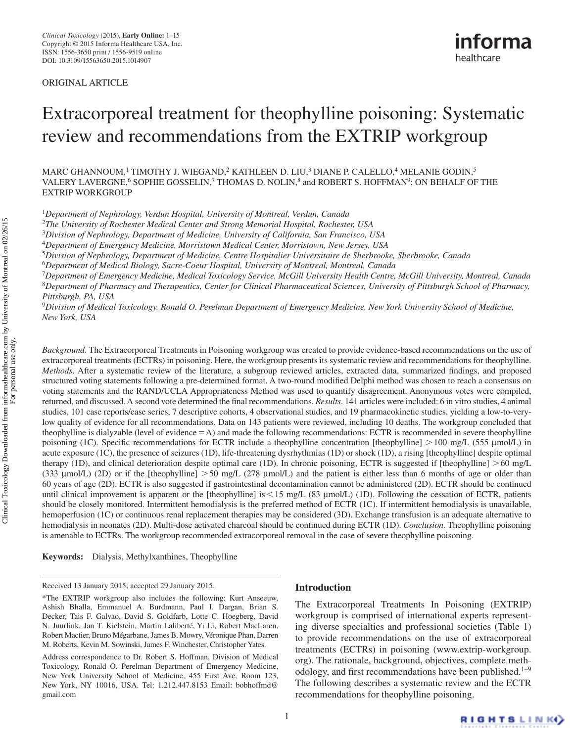ORIGINAL ARTICLE

# [Extracorporeal treatment for theophylline poisoning: Systematic](http://www.ncbi.nlm.nih.gov)  [review and recommendations from the EXTRIP workgroup](http://www.ncbi.nlm.nih.gov)

 $\rm MARC$  GHANNOUM, $^1$  $^1$  TIMOTHY J. WIEGAND, $^2$  KATHLEEN D. LIU, $^3$  $^3$  DIANE P. CALELLO, $^4$  MELANIE GODIN, $^5$  $^5$ VALERY LAVERGNE, $^6$  $^6$  SOPHIE GOSSELIN, $^7$  $^7$  THOMAS D. NOLIN, $^8$  and ROBERT S. HOFFMAN $^9;$  $^9;$  ON BEHALF OF THE Extrip workgroup

<span id="page-0-0"></span><sup>1</sup>*Department of Nephrology, Verdun Hospital, University of Montreal, Verdun, Canada*

<sup>2</sup>*The University of Rochester Medical Center and Strong Memorial Hospital, Rochester, USA*

<sup>3</sup>*Division of Nephrology, Department of Medicine, University of California, San Francisco, USA*

<sup>4</sup>*Department of Emergency Medicine, Morristown Medical Center, Morristown, New Jersey, USA*

<sup>5</sup>*Division of Nephrology, Department of Medicine, Centre Hospitalier Universitaire de Sherbrooke, Sherbrooke, Canada*

<sup>6</sup>*Department of Medical Biology, Sacre-Coeur Hospital, University of Montreal, Montreal, Canada*

<sup>7</sup>*Department of Emergency Medicine, Medical Toxicology Service, McGill University Health Centre, McGill University, Montreal, Canada* <sup>8</sup>*Department of Pharmacy and Therapeutics, Center for Clinical Pharmaceutical Sciences, University of Pittsburgh School of Pharmacy, Pittsburgh, PA, USA*

<sup>9</sup>*Division of Medical Toxicology, Ronald O. Perelman Department of Emergency Medicine, New York University School of Medicine, New York, USA*

*Background.* The Extracorporeal Treatments in Poisoning workgroup was created to provide evidence-based recommendations on the use of extracorporeal treatments (ECTRs) in poisoning. Here, the workgroup presents its systematic review and recommendations for theophylline. *Methods*. After a systematic review of the literature, a subgroup reviewed articles, extracted data, summarized findings, and proposed structured voting statements following a pre-determined format. A two-round modified Delphi method was chosen to reach a consensus on voting statements and the RAND/UCLA Appropriateness Method was used to quantify disagreement. Anonymous votes were compiled, returned, and discussed. A second vote determined the final recommendations. *Results*. 141 articles were included: 6 in vitro studies, 4 animal studies, 101 case reports/case series, 7 descriptive cohorts, 4 observational studies, and 19 pharmacokinetic studies, yielding a low-to-verylow quality of evidence for all recommendations. Data on 143 patients were reviewed, including 10 deaths. The workgroup concluded that theophylline is dialyzable (level of evidence A) and made the following recommendations: ECTR is recommended in severe theophylline poisoning (1C). Specific recommendations for ECTR include a theophylline concentration [theophylline]  $> 100$  mg/L (555 µmol/L) in acute exposure (1C), the presence of seizures (1D), life-threatening dysrhythmias (1D) or shock (1D), a rising [theophylline] despite optimal therapy (1D), and clinical deterioration despite optimal care (1D). In chronic poisoning, ECTR is suggested if [theophylline] > 60 mg/L (333 µmol/L) (2D) or if the [theophylline]  $> 50$  mg/L (278 µmol/L) and the patient is either less than 6 months of age or older than 60 years of age (2D). ECTR is also suggested if gastrointestinal decontamination cannot be administered (2D). ECTR should be continued until clinical improvement is apparent or the [theophylline] is  $\leq$  15 mg/L (83 µmol/L) (1D). Following the cessation of ECTR, patients should be closely monitored. Intermittent hemodialysis is the preferred method of ECTR (1C). If intermittent hemodialysis is unavailable, hemoperfusion (1C) or continuous renal replacement therapies may be considered (3D). Exchange transfusion is an adequate alternative to hemodialysis in neonates (2D). Multi-dose activated charcoal should be continued during ECTR (1D). *Conclusion*. Theophylline poisoning is amenable to ECTRs. The workgroup recommended extracorporeal removal in the case of severe theophylline poisoning.

**Keywords:** Dialysis, Methylxanthines, Theophylline

#### **Introduction**

The Extracorporeal Treatments In Poisoning (EXTRIP) workgroup is comprised of international experts representing diverse specialties and professional societies [\(Table 1\)](#page-1-0) to provide recommendations on the use of extracorporeal treatments (ECTRs) in poisoning ([www.extrip-workgroup.](http://www.extrip-workgroup.org)) [org\).](http://www.extrip-workgroup.org)) The rationale, background, objectives, complete meth-odology, and first recommendations have been published.<sup>1-[9](#page-10-1)</sup> The following describes a systematic review and the ECTR recommendations for theophylline poisoning.

Received 13 January 2015; accepted 29 January 2015.

<sup>\*</sup>The EXTRIP workgroup also includes the following: Kurt Anseeuw, Ashish Bhalla, Emmanuel A. Burdmann, Paul I. Dargan, Brian S. Decker, Tais F. Galvao, David S. Goldfarb, Lotte C. Hoegberg, David N. Juurlink, Jan T. Kielstein, Martin Laliberté, Yi Li, Robert MacLaren, Robert Mactier, Bruno Mégarbane, James B. Mowry, Véronique Phan, Darren M. Roberts, Kevin M. Sowinski, James F. Winchester, Christopher Yates.

Address correspondence to Dr. Robert S. Hoffman, Division of Medical Toxicology, Ronald O. Perelman Department of Emergency Medicine, New York University School of Medicine, 455 First Ave, Room 123, New York, NY 10016, USA. Tel: 1.212.447.8153 Email: bobhoffmd@ gmail.com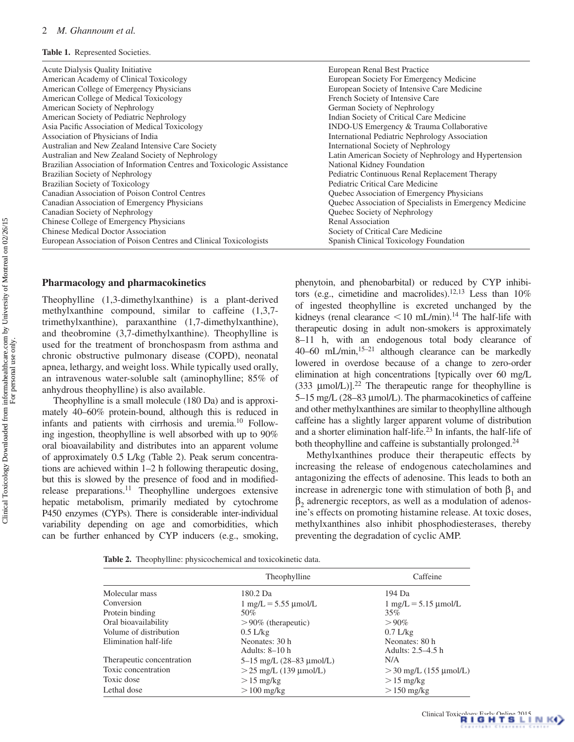<span id="page-1-0"></span>

| Acute Dialysis Quality Initiative                                       | European Renal Best Practice                            |
|-------------------------------------------------------------------------|---------------------------------------------------------|
| American Academy of Clinical Toxicology                                 | European Society For Emergency Medicine                 |
| American College of Emergency Physicians                                | European Society of Intensive Care Medicine             |
| American College of Medical Toxicology                                  | French Society of Intensive Care                        |
| American Society of Nephrology                                          | German Society of Nephrology                            |
| American Society of Pediatric Nephrology                                | Indian Society of Critical Care Medicine                |
| Asia Pacific Association of Medical Toxicology                          | INDO-US Emergency & Trauma Collaborative                |
| Association of Physicians of India                                      | International Pediatric Nephrology Association          |
| Australian and New Zealand Intensive Care Society                       | International Society of Nephrology                     |
| Australian and New Zealand Society of Nephrology                        | Latin American Society of Nephrology and Hypertension   |
| Brazilian Association of Information Centres and Toxicologic Assistance | National Kidney Foundation                              |
| Brazilian Society of Nephrology                                         | Pediatric Continuous Renal Replacement Therapy          |
| Brazilian Society of Toxicology                                         | Pediatric Critical Care Medicine                        |
| Canadian Association of Poison Control Centres                          | Quebec Association of Emergency Physicians              |
| Canadian Association of Emergency Physicians                            | Quebec Association of Specialists in Emergency Medicine |
| Canadian Society of Nephrology                                          | Quebec Society of Nephrology                            |
| Chinese College of Emergency Physicians                                 | Renal Association                                       |
| <b>Chinese Medical Doctor Association</b>                               | Society of Critical Care Medicine                       |
| European Association of Poison Centres and Clinical Toxicologists       | Spanish Clinical Toxicology Foundation                  |

# **Pharmacology and pharmacokinetics**

Theophylline (1,3-dimethylxanthine) is a plant-derived methylxanthine compound, similar to caffeine (1,3,7 trimethylxanthine), paraxanthine (1,7-dimethylxanthine), and theobromine (3,7-dimethylxanthine). Theophylline is used for the treatment of bronchospasm from asthma and chronic obstructive pulmonary disease (COPD), neonatal apnea, lethargy, and weight loss. While typically used orally, an intravenous water-soluble salt (aminophylline; 85% of anhydrous theophylline) is also available.

Theophylline is a small molecule (180 Da) and is approximately 40–60% protein-bound, although this is reduced in infants and patients with cirrhosis and uremia[.10](#page-10-2) Following ingestion, theophylline is well absorbed with up to 90% oral bioavailability and distributes into an apparent volume of approximately 0.5 L/kg ([Table 2\)](#page-1-1). Peak serum concentrations are achieved within 1–2 h following therapeutic dosing, but this is slowed by the presence of food and in modifiedrelease preparations[.11](#page-10-3) Theophylline undergoes extensive hepatic metabolism, primarily mediated by cytochrome P450 enzymes (CYPs). There is considerable inter-individual variability depending on age and comorbidities, which can be further enhanced by CYP inducers (e.g., smoking,

phenytoin, and phenobarbital) or reduced by CYP inhibi-tors (e.g., cimetidine and macrolides).<sup>[12,](#page-10-4)[13](#page-10-5)</sup> Less than  $10\%$ of ingested theophylline is excreted unchanged by the kidneys (renal clearance  $\leq 10$  mL/min).<sup>14</sup> The half-life with therapeutic dosing in adult non-smokers is approximately 8–11 h, with an endogenous total body clearance of 40–60 mL/min, $15-21$  although clearance can be markedly lowered in overdose because of a change to zero-order elimination at high concentrations [typically over 60 mg/L (333  $\mu$ mol/L)].<sup>22</sup> The therapeutic range for theophylline is 5–15 mg/L (28–83 µmol/L). The pharmacokinetics of caffeine and other methylxanthines are similar to theophylline although caffeine has a slightly larger apparent volume of distribution and a shorter elimination half-life.<sup>23</sup> In infants, the half-life of both theophylline and caffeine is substantially prolonged.<sup>[24](#page-10-11)</sup>

Methylxanthines produce their therapeutic effects by increasing the release of endogenous catecholamines and antagonizing the effects of adenosine. This leads to both an increase in adrenergic tone with stimulation of both  $\beta_1$  and  $\beta_2$  adrenergic receptors, as well as a modulation of adenosine's effects on promoting histamine release. At toxic doses, methylxanthines also inhibit phosphodiesterases, thereby preventing the degradation of cyclic AMP.

<span id="page-1-1"></span>**Table 2.** Theophylline: physicochemical and toxicokinetic data.

|                           | Theophylline                              | Caffeine                                  |  |  |
|---------------------------|-------------------------------------------|-------------------------------------------|--|--|
| Molecular mass            | 180.2 Da                                  | 194 Da                                    |  |  |
| Conversion                | $1 \text{ mg/L} = 5.55 \text{ \mu}$ mol/L | $1 \text{ mg/L} = 5.15 \text{ \mu}$ mol/L |  |  |
| Protein binding           | 50%                                       | 35%                                       |  |  |
| Oral bioavailability      | $> 90\%$ (therapeutic)                    | $>90\%$                                   |  |  |
| Volume of distribution    | $0.5$ L/kg                                | $0.7$ L/kg                                |  |  |
| Elimination half-life     | Neonates: 30 h                            | Neonates: 80 h                            |  |  |
|                           | Adults: 8-10 h                            | Adults: 2.5–4.5 h                         |  |  |
| Therapeutic concentration | 5-15 mg/L (28-83 µmol/L)                  | N/A                                       |  |  |
| Toxic concentration       | $>$ 25 mg/L (139 µmol/L)                  | $>$ 30 mg/L (155 µmol/L)                  |  |  |
| Toxic dose                | $>15$ mg/kg                               | $>15$ mg/kg                               |  |  |
| Lethal dose               | $>100 \text{ mg/kg}$                      | $>150$ mg/kg                              |  |  |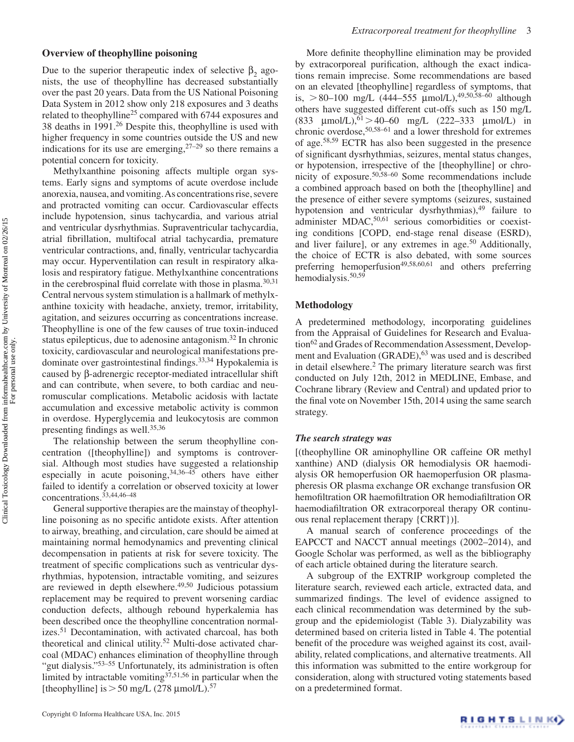#### **Overview of theophylline poisoning**

Due to the superior therapeutic index of selective  $\beta_2$  agonists, the use of theophylline has decreased substantially over the past 20 years. Data from the US National Poisoning Data System in 2012 show only 218 exposures and 3 deaths related to theophylline<sup>25</sup> compared with 6744 exposures and 38 deaths in 1991.<sup>[26](#page-10-13)</sup> Despite this, theophylline is used with higher frequency in some countries outside the US and new indications for its use are emerging,  $27-29$  $27-29$  $27-29$  so there remains a potential concern for toxicity.

Methylxanthine poisoning affects multiple organ systems. Early signs and symptoms of acute overdose include anorexia, nausea, and vomiting. As concentrations rise, severe and protracted vomiting can occur. Cardiovascular effects include hypotension, sinus tachycardia, and various atrial and ventricular dysrhythmias. Supraventricular tachycardia, atrial fibrillation, multifocal atrial tachycardia, premature ventricular contractions, and, finally, ventricular tachycardia may occur. Hyperventilation can result in respiratory alkalosis and respiratory fatigue. Methylxanthine concentrations in the cerebrospinal fluid correlate with those in plasma.<sup>30,[31](#page-10-17)</sup> Central nervous system stimulation is a hallmark of methylxanthine toxicity with headache, anxiety, tremor, irritability, agitation, and seizures occurring as concentrations increase. Theophylline is one of the few causes of true toxin-induced status epilepticus, due to adenosine antagonism.<sup>[32](#page-10-18)</sup> In chronic toxicity, cardiovascular and neurological manifestations predominate over gastrointestinal findings[.33,](#page-10-19)[34](#page-10-20) Hypokalemia is caused by b-adrenergic receptor-mediated intracellular shift and can contribute, when severe, to both cardiac and neuromuscular complications. Metabolic acidosis with lactate accumulation and excessive metabolic activity is common in overdose. Hyperglycemia and leukocytosis are common presenting findings as well.<sup>[35](#page-10-21)[,36](#page-10-22)</sup>

The relationship between the serum theophylline concentration ([theophylline]) and symptoms is controversial. Although most studies have suggested a relationship especially in acute poisoning,  $34,36-45$  $34,36-45$  $34,36-45$  others have either failed to identify a correlation or observed toxicity at lower concentrations.[33](#page-10-19)[,44](#page-11-1)[,46–](#page-11-2)[48](#page-11-3)

General supportive therapies are the mainstay of theophylline poisoning as no specific antidote exists. After attention to airway, breathing, and circulation, care should be aimed at maintaining normal hemodynamics and preventing clinical decompensation in patients at risk for severe toxicity. The treatment of specific complications such as ventricular dysrhythmias, hypotension, intractable vomiting, and seizures are reviewed in depth elsewhere[.49,](#page-11-4)[50](#page-11-5) Judicious potassium replacement may be required to prevent worsening cardiac conduction defects, although rebound hyperkalemia has been described once the theophylline concentration normal-izes.<sup>[51](#page-11-6)</sup> Decontamination, with activated charcoal, has both theoretical and clinical utility.<sup>52</sup> Multi-dose activated charcoal (MDAC) enhances elimination of theophylline through "gut dialysis."[53–](#page-11-8)[55](#page-11-9) Unfortunately, its administration is often limited by intractable vomiting  $37,51,56$  $37,51,56$  $37,51,56$  in particular when the [theophylline] is  $>$  50 mg/L (278 µmol/L).<sup>[57](#page-11-11)</sup>

More definite theophylline elimination may be provided by extracorporeal purification, although the exact indications remain imprecise. Some recommendations are based on an elevated [theophylline] regardless of symptoms, that is,  $> 80-100$  mg/L (444–555 µmol/L),<sup>49,[50,](#page-11-5)[58–](#page-11-12)60</sup> although others have suggested different cut-offs such as 150 mg/L (833  $\mu$ mol/L),  $61 > 40-60$  $61 > 40-60$  mg/L (222-333  $\mu$ mol/L) in chronic overdose,[50,](#page-11-5)[58](#page-11-12)–[61](#page-11-14) and a lower threshold for extremes of age.[58,](#page-11-12)[59](#page-11-15) ECTR has also been suggested in the presence of significant dysrhythmias, seizures, mental status changes, or hypotension, irrespective of the [theophylline] or chronicity of exposure.[50](#page-11-5),[58](#page-11-12)[–60](#page-11-13) Some recommendations include a combined approach based on both the [theophylline] and the presence of either severe symptoms (seizures, sustained hypotension and ventricular dysrhythmias),<sup>49</sup> failure to administer MDAC,<sup>[50,](#page-11-5)61</sup> serious comorbidities or coexisting conditions [COPD, end-stage renal disease (ESRD), and liver failure], or any extremes in age. $50$  Additionally, the choice of ECTR is also debated, with some sources preferring hemoperfusion<sup>49[,58,](#page-11-12)[60](#page-11-13),[61](#page-11-14)</sup> and others preferring hemodialysis. $50,59$  $50,59$ 

#### **Methodology**

A predetermined methodology, incorporating guidelines from the Appraisal of Guidelines for Research and Evaluation<sup>62</sup> and Grades of Recommendation Assessment, Development and Evaluation (GRADE),<sup>63</sup> was used and is described in detail elsewhere.<sup>2</sup> The primary literature search was first conducted on July 12th, 2012 in MEDLINE, Embase, and Cochrane library (Review and Central) and updated prior to the final vote on November 15th, 2014 using the same search strategy.

#### *The search strategy was*

[(theophylline OR aminophylline OR caffeine OR methyl xanthine) AND (dialysis OR hemodialysis OR haemodialysis OR hemoperfusion OR haemoperfusion OR plasmapheresis OR plasma exchange OR exchange transfusion OR hemofiltration OR haemofiltration OR hemodiafiltration OR haemodiafiltration OR extracorporeal therapy OR continuous renal replacement therapy {CRRT})].

A manual search of conference proceedings of the EAPCCT and NACCT annual meetings (2002–2014), and Google Scholar was performed, as well as the bibliography of each article obtained during the literature search.

A subgroup of the EXTRIP workgroup completed the literature search, reviewed each article, extracted data, and summarized findings. The level of evidence assigned to each clinical recommendation was determined by the subgroup and the epidemiologist [\(Table 3\)](#page-3-0). Dialyzability was determined based on criteria listed in [Table 4.](#page-3-1) The potential benefit of the procedure was weighed against its cost, availability, related complications, and alternative treatments. All this information was submitted to the entire workgroup for consideration, along with structured voting statements based on a predetermined format.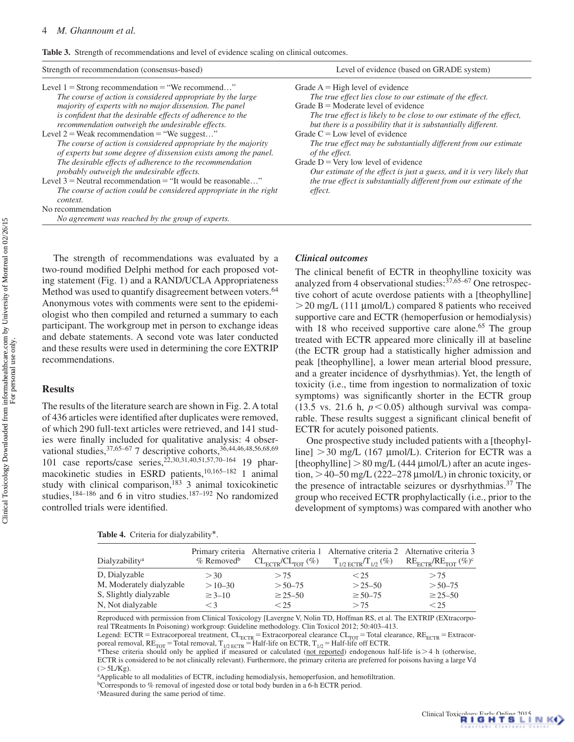<span id="page-3-0"></span>**Table 3.** Strength of recommendations and level of evidence scaling on clinical outcomes.

| Strength of recommendation (consensus-based)                                                                                                                                                                                                                                                                                                                                                                                                                                                                                                                                                                                                                                                                                                                                                                                    | Level of evidence (based on GRADE system)                                                                                                                                                                                                                                                                                                                                                                                                                                                                                                                                                                                   |  |  |  |
|---------------------------------------------------------------------------------------------------------------------------------------------------------------------------------------------------------------------------------------------------------------------------------------------------------------------------------------------------------------------------------------------------------------------------------------------------------------------------------------------------------------------------------------------------------------------------------------------------------------------------------------------------------------------------------------------------------------------------------------------------------------------------------------------------------------------------------|-----------------------------------------------------------------------------------------------------------------------------------------------------------------------------------------------------------------------------------------------------------------------------------------------------------------------------------------------------------------------------------------------------------------------------------------------------------------------------------------------------------------------------------------------------------------------------------------------------------------------------|--|--|--|
| Level $1 =$ Strong recommendation $=$ "We recommend"<br>The course of action is considered appropriate by the large<br>majority of experts with no major dissension. The panel<br>is confident that the desirable effects of adherence to the<br>recommendation outweigh the undesirable effects.<br>Level $2$ = Weak recommendation = "We suggest"<br>The course of action is considered appropriate by the majority<br>of experts but some degree of dissension exists among the panel.<br>The desirable effects of adherence to the recommendation<br>probably outweigh the undesirable effects.<br>Level $3$ = Neutral recommendation = "It would be reasonable"<br>The course of action could be considered appropriate in the right<br>context.<br>No recommendation<br>No agreement was reached by the group of experts. | Grade $A = High level of evidence$<br>The true effect lies close to our estimate of the effect.<br>Grade $B =$ Moderate level of evidence<br>The true effect is likely to be close to our estimate of the effect,<br>but there is a possibility that it is substantially different.<br>Grade $C = Low$ level of evidence<br>The true effect may be substantially different from our estimate<br>of the effect.<br>Grade $D = \text{Very low level of evidence}$<br>Our estimate of the effect is just a guess, and it is very likely that<br>the true effect is substantially different from our estimate of the<br>effect. |  |  |  |

The strength of recommendations was evaluated by a two-round modified Delphi method for each proposed voting statement (Fig. 1) and a RAND/UCLA Appropriateness Method was used to quantify disagreement between voters.<sup>[64](#page-11-18)</sup> Anonymous votes with comments were sent to the epidemiologist who then compiled and returned a summary to each participant. The workgroup met in person to exchange ideas and debate statements. A second vote was later conducted and these results were used in determining the core EXTRIP recommendations.

## **Results**

The results of the literature search are shown in Fig. 2. A total of 436 articles were identified after duplicates were removed, of which 290 full-text articles were retrieved, and 141 studies were finally included for qualitative analysis: 4 observational studies,  $37,65-67$  7 descriptive cohorts,  $36,44,46,48,56,68,69$  $36,44,46,48,56,68,69$  $36,44,46,48,56,68,69$  $36,44,46,48,56,68,69$  $36,44,46,48,56,68,69$  $36,44,46,48,56,68,69$  $36,44,46,48,56,68,69$  $36,44,46,48,56,68,69$ 101 case reports/case series,<sup>[22,](#page-10-9)[30](#page-10-16)[,31](#page-10-17)[,40,](#page-11-23)[51,](#page-11-6)[57,](#page-11-11)[70](#page-11-24)-164</sup> 19 pharmacokinetic studies in ESRD patients[,10,](#page-10-2)[165–](#page-13-1)[182](#page-14-0) 1 animal study with clinical comparison,<sup>183</sup> 3 animal toxicokinetic studies, $184-186$  $184-186$  and 6 in vitro studies. $187-192$  No randomized controlled trials were identified.

# *Clinical outcomes*

The clinical benefit of ECTR in theophylline toxicity was analyzed from 4 observational studies: $37,65-67$  $37,65-67$  One retrospective cohort of acute overdose patients with a [theophylline]  $>$  20 mg/L (111 µmol/L) compared 8 patients who received supportive care and ECTR (hemoperfusion or hemodialysis) with 18 who received supportive care alone.<sup>65</sup> The group treated with ECTR appeared more clinically ill at baseline (the ECTR group had a statistically higher admission and peak [theophylline], a lower mean arterial blood pressure, and a greater incidence of dysrhythmias). Yet, the length of toxicity (i.e., time from ingestion to normalization of toxic symptoms) was significantly shorter in the ECTR group (13.5 vs. 21.6 h,  $p<0.05$ ) although survival was comparable. These results suggest a significant clinical benefit of ECTR for acutely poisoned patients.

One prospective study included patients with a [theophylline]  $>$  30 mg/L (167 µmol/L). Criterion for ECTR was a [theophylline]  $> 80$  mg/L (444  $\mu$ mol/L) after an acute ingestion,  $>$  40–50 mg/L (222–278 µmol/L) in chronic toxicity, or the presence of intractable seizures or dysrhythmias[.37](#page-10-23) The group who received ECTR prophylactically (i.e., prior to the development of symptoms) was compared with another who

<span id="page-3-1"></span>**Table 4.** Criteria for dialyzability\*.

| Dialyzability <sup>a</sup> | $%$ Removed <sup>b</sup> |                | Primary criteria Alternative criteria 1 Alternative criteria 2 Alternative criteria 3<br>$CL_{\text{ECTR}}/CL_{\text{TOT}} (\%)$ $T_{1/2 \text{ ECTR}}/T_{1/2} (\%)$ $RE_{\text{ECTR}}/RE_{\text{TOT}} (\%)^c$ |                |
|----------------------------|--------------------------|----------------|----------------------------------------------------------------------------------------------------------------------------------------------------------------------------------------------------------------|----------------|
| D, Dialyzable              | > 30                     | > 75           | $\leq$ 25                                                                                                                                                                                                      | > 75           |
| M, Moderately dialyzable   | $>10-30$                 | $> 50 - 75$    | $> 25 - 50$                                                                                                                                                                                                    | $> 50 - 75$    |
| S, Slightly dialyzable     | $\geq 3 - 10$            | $\geq 25 - 50$ | $\geq 50 - 75$                                                                                                                                                                                                 | $\geq 25 - 50$ |
| N, Not dialyzable          | $\leq$ 3                 | < 25           | > 75                                                                                                                                                                                                           | < 25           |

Reproduced with permission from Clinical Toxicology [Lavergne V, Nolin TD, Hoffman RS, et al. The EXTRIP (EXtracorporeal TReatments In Poisoning) workgroup: Guideline methodology. Clin Toxicol 2012; 50:403–413.

Legend: ECTR = Extracorporeal treatment,  $CL_{ECTR}$  = Extracorporeal clearance  $CL_{TOT}$  = Total clearance,  $RE_{ECTR}$  = Extracorporeal removal,  $RE_{TOT}$  = Total removal,  $T_{1/2}$   $_{ECTR}$  = Half-life on ECTR,  $T_{1/2}$  = Half-life off ECTR.<br>\*These criteria should only be applied if measured or calculated (<u>not reported</u>) endogenous half-life is > 4 h (

ECTR is considered to be not clinically relevant). Furthermore, the primary criteria are preferred for poisons having a large Vd  $(>5L/Kg)$ .

<sup>a</sup>Applicable to all modalities of ECTR, including hemodialysis, hemoperfusion, and hemofiltration.

c Measured during the same period of time.

<sup>&</sup>lt;sup>b</sup>Corresponds to % removal of ingested dose or total body burden in a 6-h ECTR period.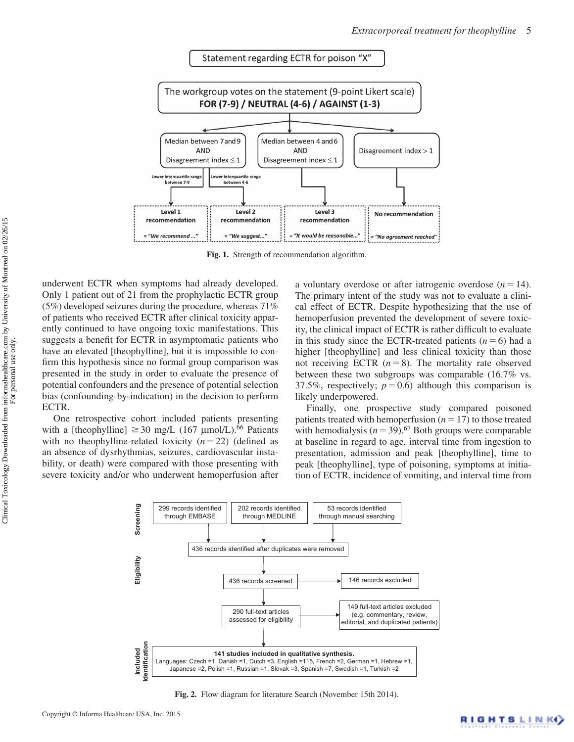

**Fig. 1.** Strength of recommendation algorithm.

underwent ECTR when symptoms had already developed. Only 1 patient out of 21 from the prophylactic ECTR group (5%) developed seizures during the procedure, whereas 71% of patients who received ECTR after clinical toxicity apparently continued to have ongoing toxic manifestations. This suggests a benefit for ECTR in asymptomatic patients who have an elevated [theophylline], but it is impossible to confirm this hypothesis since no formal group comparison was presented in the study in order to evaluate the presence of potential confounders and the presence of potential selection bias (confounding-by-indication) in the decision to perform ECTR.

One retrospective cohort included patients presenting with a [theophylline]  $\geq$  30 mg/L (167 µmol/L).<sup>66</sup> Patients with no theophylline-related toxicity  $(n=22)$  (defined as an absence of dysrhythmias, seizures, cardiovascular instability, or death) were compared with those presenting with severe toxicity and/or who underwent hemoperfusion after a voluntary overdose or after iatrogenic overdose  $(n=14)$ . The primary intent of the study was not to evaluate a clinical effect of ECTR. Despite hypothesizing that the use of hemoperfusion prevented the development of severe toxicity, the clinical impact of ECTR is rather difficult to evaluate in this study since the ECTR-treated patients  $(n=6)$  had a higher [theophylline] and less clinical toxicity than those not receiving ECTR  $(n=8)$ . The mortality rate observed between these two subgroups was comparable (16.7% vs. 37.5%, respectively;  $p=0.6$ ) although this comparison is likely underpowered.

Finally, one prospective study compared poisoned patients treated with hemoperfusion  $(n=17)$  to those treated with hemodialysis ( $n=39$ ).<sup>[67](#page-11-20)</sup> Both groups were comparable at baseline in regard to age, interval time from ingestion to presentation, admission and peak [theophylline], time to peak [theophylline], type of poisoning, symptoms at initiation of ECTR, incidence of vomiting, and interval time from



**Fig. 2.** Flow diagram for literature Search (November 15th 2014).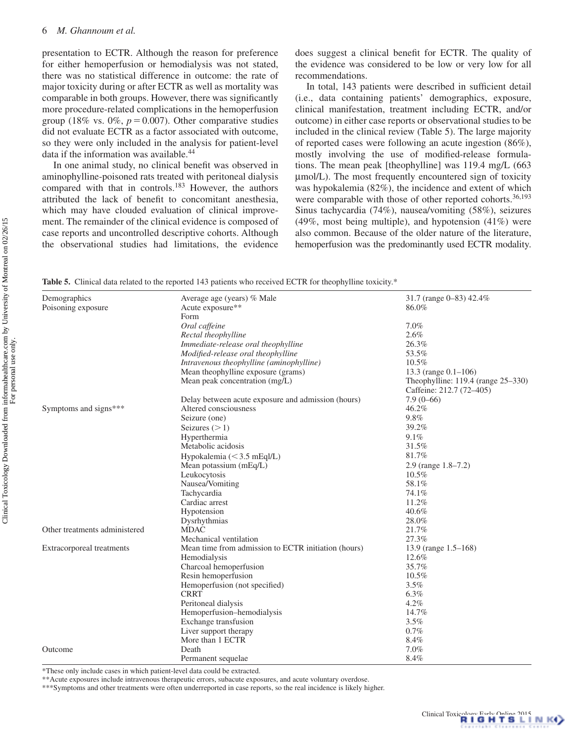presentation to ECTR. Although the reason for preference for either hemoperfusion or hemodialysis was not stated, there was no statistical difference in outcome: the rate of major toxicity during or after ECTR as well as mortality was comparable in both groups. However, there was significantly more procedure-related complications in the hemoperfusion group (18% vs.  $0\%$ ,  $p=0.007$ ). Other comparative studies did not evaluate ECTR as a factor associated with outcome, so they were only included in the analysis for patient-level data if the information was available.<sup>[44](#page-11-1)</sup>

In one animal study, no clinical benefit was observed in aminophylline-poisoned rats treated with peritoneal dialysis compared with that in controls.<sup>183</sup> However, the authors attributed the lack of benefit to concomitant anesthesia, which may have clouded evaluation of clinical improvement. The remainder of the clinical evidence is composed of case reports and uncontrolled descriptive cohorts. Although the observational studies had limitations, the evidence does suggest a clinical benefit for ECTR. The quality of the evidence was considered to be low or very low for all recommendations.

In total, 143 patients were described in sufficient detail (i.e., data containing patients' demographics, exposure, clinical manifestation, treatment including ECTR, and/or outcome) in either case reports or observational studies to be included in the clinical review ([Table 5\)](#page-5-0). The large majority of reported cases were following an acute ingestion (86%), mostly involving the use of modified-release formulations. The mean peak [theophylline] was 119.4 mg/L (663 mmol/L). The most frequently encountered sign of toxicity was hypokalemia (82%), the incidence and extent of which were comparable with those of other reported cohorts.<sup>[36](#page-10-22),[193](#page-14-6)</sup> Sinus tachycardia (74%), nausea/vomiting (58%), seizures (49%, most being multiple), and hypotension (41%) were also common. Because of the older nature of the literature, hemoperfusion was the predominantly used ECTR modality.

<span id="page-5-0"></span>**Table 5.** Clinical data related to the reported 143 patients who received ECTR for theophylline toxicity.\*

| Demographics                  | Average age (years) % Male                          | 31.7 (range 0-83) 42.4%            |  |  |  |
|-------------------------------|-----------------------------------------------------|------------------------------------|--|--|--|
| Poisoning exposure            | Acute exposure**                                    | 86.0%                              |  |  |  |
|                               | Form                                                |                                    |  |  |  |
|                               | Oral caffeine                                       | 7.0%                               |  |  |  |
|                               | Rectal theophylline                                 | 2.6%                               |  |  |  |
|                               | Immediate-release oral theophylline                 | 26.3%                              |  |  |  |
|                               | Modified-release oral theophylline                  | 53.5%                              |  |  |  |
|                               | Intravenous theophylline (aminophylline)            | $10.5\%$                           |  |  |  |
|                               | Mean theophylline exposure (grams)                  | 13.3 (range $0.1-106$ )            |  |  |  |
|                               | Mean peak concentration (mg/L)                      | Theophylline: 119.4 (range 25–330) |  |  |  |
|                               |                                                     | Caffeine: 212.7 (72–405)           |  |  |  |
|                               | Delay between acute exposure and admission (hours)  | $7.9(0-66)$                        |  |  |  |
| Symptoms and signs***         | Altered consciousness                               | 46.2%                              |  |  |  |
|                               | Seizure (one)                                       | 9.8%                               |  |  |  |
|                               | Seizures $(>1)$                                     | 39.2%                              |  |  |  |
|                               | Hyperthermia                                        | 9.1%                               |  |  |  |
|                               | Metabolic acidosis                                  | 31.5%                              |  |  |  |
|                               | Hypokalemia $(< 3.5$ mEql/L)                        | 81.7%                              |  |  |  |
|                               | Mean potassium $(mEq/L)$                            | $2.9$ (range $1.8 - 7.2$ )         |  |  |  |
|                               | Leukocytosis                                        | 10.5%                              |  |  |  |
|                               | Nausea/Vomiting                                     | 58.1%                              |  |  |  |
|                               | Tachycardia                                         | 74.1%                              |  |  |  |
|                               | Cardiac arrest                                      | 11.2%                              |  |  |  |
|                               | Hypotension                                         | 40.6%                              |  |  |  |
|                               | Dysrhythmias                                        | 28.0%                              |  |  |  |
| Other treatments administered | <b>MDAC</b>                                         | 21.7%                              |  |  |  |
|                               | Mechanical ventilation                              | 27.3%                              |  |  |  |
| Extracorporeal treatments     | Mean time from admission to ECTR initiation (hours) | 13.9 (range $1.5-168$ )            |  |  |  |
|                               | Hemodialysis                                        | 12.6%                              |  |  |  |
|                               | Charcoal hemoperfusion                              | 35.7%                              |  |  |  |
|                               | Resin hemoperfusion                                 | 10.5%                              |  |  |  |
|                               | Hemoperfusion (not specified)                       | 3.5%                               |  |  |  |
|                               | <b>CRRT</b>                                         | $6.3\%$                            |  |  |  |
|                               | Peritoneal dialysis                                 | 4.2%                               |  |  |  |
|                               | Hemoperfusion-hemodialysis                          | 14.7%                              |  |  |  |
|                               | Exchange transfusion                                | 3.5%                               |  |  |  |
|                               | Liver support therapy                               | 0.7%                               |  |  |  |
|                               | More than 1 ECTR                                    | 8.4%                               |  |  |  |
| Outcome                       | Death                                               | 7.0%                               |  |  |  |
|                               | Permanent sequelae                                  | 8.4%                               |  |  |  |

\*These only include cases in which patient-level data could be extracted.

\*\*Acute exposures include intravenous therapeutic errors, subacute exposures, and acute voluntary overdose.

\*\*\*Symptoms and other treatments were often underreported in case reports, so the real incidence is likely higher.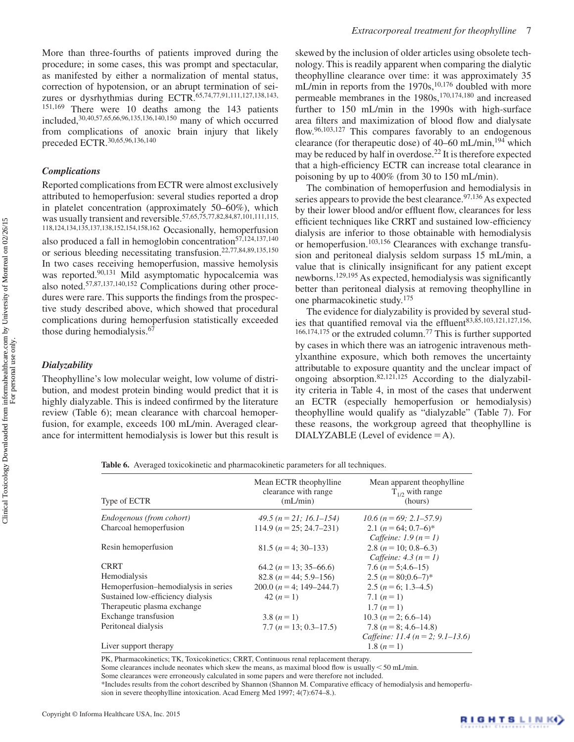More than three-fourths of patients improved during the procedure; in some cases, this was prompt and spectacular, as manifested by either a normalization of mental status, correction of hypotension, or an abrupt termination of sei-zures or dysrhythmias during ECTR.<sup>[65](#page-11-19),[74](#page-11-26)[,77,](#page-11-27)[91,](#page-12-0)[111,](#page-12-1)[127](#page-12-2)[,138](#page-13-2)[,143](#page-13-3),</sup> [151](#page-13-4),[169](#page-13-5) There were 10 deaths among the 143 patients included,[30](#page-10-16),[40](#page-11-23)[,57,](#page-11-11)[65,](#page-11-19)[66,](#page-11-25)[96](#page-12-3),[135,](#page-13-6)[136,](#page-13-7)[140](#page-13-8)[,150](#page-13-9) many of which occurred from complications of anoxic brain injury that likely preceded ECTR.[30](#page-10-16)[,65,](#page-11-19)[96,](#page-12-3)[136,](#page-13-7)[140](#page-13-8)

### *Complications*

Reported complications from ECTR were almost exclusively attributed to hemoperfusion: several studies reported a drop in platelet concentration (approximately 50–60%), which was usually transient and reversible.  $57,65,75,77,82,84,87,101,111,115$  $57,65,75,77,82,84,87,101,111,115$  $57,65,75,77,82,84,87,101,111,115$  $57,65,75,77,82,84,87,101,111,115$  $57,65,75,77,82,84,87,101,111,115$  $57,65,75,77,82,84,87,101,111,115$  $57,65,75,77,82,84,87,101,111,115$  $57,65,75,77,82,84,87,101,111,115$  $57,65,75,77,82,84,87,101,111,115$  $57,65,75,77,82,84,87,101,111,115$  $57,65,75,77,82,84,87,101,111,115$ , [118,](#page-12-8)[124](#page-12-9)[,134](#page-13-10)[,135](#page-13-6),[137,](#page-13-11)[138](#page-13-2)[,152](#page-13-12)[,154,](#page-13-13)[158](#page-13-14)[,162](#page-13-15) Occasionally, hemoperfusion also produced a fall in hemoglobin concentration $57,124,137,140$  $57,124,137,140$  $57,124,137,140$  $57,124,137,140$  $57,124,137,140$ or serious bleeding necessitating transfusion[.22,](#page-10-9)[77,](#page-11-27)[84](#page-12-4),[89](#page-12-10)[,135](#page-13-6),[150](#page-13-9) In two cases receiving hemoperfusion, massive hemolysis was reported.<sup>[90](#page-12-11),131</sup> Mild asymptomatic hypocalcemia was also noted[.57](#page-11-11)[,87,](#page-12-5)[137](#page-13-11)[,140,](#page-13-8)[152](#page-13-12) Complications during other procedures were rare. This supports the findings from the prospective study described above, which showed that procedural complications during hemoperfusion statistically exceeded those during hemodialysis.<sup>[67](#page-11-20)</sup>

# *Dialyzability*

Theophylline's low molecular weight, low volume of distribution, and modest protein binding would predict that it is highly dialyzable. This is indeed confirmed by the literature review ([Table 6](#page-6-0)); mean clearance with charcoal hemoperfusion, for example, exceeds 100 mL/min. Averaged clearance for intermittent hemodialysis is lower but this result is

skewed by the inclusion of older articles using obsolete technology. This is readily apparent when comparing the dialytic theophylline clearance over time: it was approximately 35 mL/min in reports from the 1970s,<sup>10[,176](#page-13-16)</sup> doubled with more permeable membranes in the 1980s,<sup>[170,](#page-13-17)[174,](#page-13-18)180</sup> and increased further to 150 mL/min in the 1990s with high-surface area filters and maximization of blood flow and dialysate flow[.96,](#page-12-3)[103,](#page-12-13)[127](#page-12-2) This compares favorably to an endogenous clearance (for therapeutic dose) of  $40-60$  mL/min,<sup>194</sup> which may be reduced by half in overdose.<sup>22</sup> It is therefore expected that a high-efficiency ECTR can increase total clearance in poisoning by up to 400% (from 30 to 150 mL/min).

The combination of hemoperfusion and hemodialysis in series appears to provide the best clearance.<sup>[97](#page-12-14),[136](#page-13-7)</sup>As expected by their lower blood and/or effluent flow, clearances for less efficient techniques like CRRT and sustained low-efficiency dialysis are inferior to those obtainable with hemodialysis or hemoperfusion.[103,](#page-12-13)[156](#page-13-20) Clearances with exchange transfusion and peritoneal dialysis seldom surpass 15 mL/min, a value that is clinically insignificant for any patient except newborns[.129](#page-12-15)[,195](#page-14-8) As expected, hemodialysis was significantly better than peritoneal dialysis at removing theophylline in one pharmacokinetic study[.175](#page-13-21)

The evidence for dialyzability is provided by several stud-ies that quantified removal via the effluent<sup>83,[85,](#page-12-16)[103,](#page-12-13)[121](#page-12-17)[,127](#page-12-2)[,156](#page-13-20),</sup> [166](#page-13-22),[174,](#page-13-18)[175](#page-13-21) or the extruded column[.77](#page-11-27) This is further supported by cases in which there was an iatrogenic intravenous methylxanthine exposure, which both removes the uncertainty attributable to exposure quantity and the unclear impact of ongoing absorption.[82](#page-11-29)[,121](#page-12-17)[,125](#page-12-18) According to the dialyzability criteria in [Table 4,](#page-3-1) in most of the cases that underwent an ECTR (especially hemoperfusion or hemodialysis) theophylline would qualify as "dialyzable" ([Table 7](#page-7-0)). For these reasons, the workgroup agreed that theophylline is DIALYZABLE (Level of evidence  $=$  A).

<span id="page-6-0"></span>**Table 6.** Averaged toxicokinetic and pharmacokinetic parameters for all techniques.

| Type of ECTR                         | Mean ECTR theophylline<br>clearance with range<br>(mL/min) | Mean apparent theophylline<br>$T_{1/2}$ with range<br>(hours)     |  |  |  |
|--------------------------------------|------------------------------------------------------------|-------------------------------------------------------------------|--|--|--|
| Endogenous (from cohort)             | 49.5 ( $n = 21$ ; 16.1–154)                                | 10.6 ( $n = 69$ ; 2.1–57.9)                                       |  |  |  |
| Charcoal hemoperfusion               | $114.9 (n = 25; 24.7 - 231)$                               | 2.1 $(n = 64: 0.7-6)^*$<br>Caffeine: $1.9 (n=1)$                  |  |  |  |
| Resin hemoperfusion                  | $81.5(n=4;30-133)$                                         | 2.8 ( $n = 10$ ; 0.8–6.3)<br>Caffeine: $4.3 (n=1)$                |  |  |  |
| <b>CRRT</b>                          | 64.2 ( $n = 13$ ; 35–66.6)                                 | 7.6 ( $n = 5:4.6-15$ )                                            |  |  |  |
| Hemodialysis                         | 82.8 ( $n = 44$ ; 5.9–156)                                 | 2.5 $(n = 80:0.6-7)^*$                                            |  |  |  |
| Hemoperfusion-hemodialysis in series | 200.0 $(n = 4; 149 - 244.7)$                               | 2.5 $(n = 6; 1.3-4.5)$                                            |  |  |  |
| Sustained low-efficiency dialysis    | $42(n=1)$                                                  | 7.1 $(n=1)$                                                       |  |  |  |
| Therapeutic plasma exchange          |                                                            | 1.7 $(n=1)$                                                       |  |  |  |
| Exchange transfusion                 | 3.8 $(n=1)$                                                | 10.3 ( $n = 2$ ; 6.6–14)                                          |  |  |  |
| Peritoneal dialysis                  | $7.7 (n = 13; 0.3 - 17.5)$                                 | 7.8 ( $n = 8$ ; 4.6-14.8)<br>Caffeine: 11.4 ( $n = 2$ ; 9.1–13.6) |  |  |  |
| Liver support therapy                |                                                            | 1.8 $(n=1)$                                                       |  |  |  |

PK, Pharmacokinetics; TK, Toxicokinetics; CRRT, Continuous renal replacement therapy.

Some clearances include neonates which skew the means, as maximal blood flow is usually  $\leq 50$  mL/min.

Some clearances were erroneously calculated in some papers and were therefore not included.

\*Includes results from the cohort described by Shannon (Shannon M. Comparative efficacy of hemodialysis and hemoperfusion in severe theophylline intoxication. Acad Emerg Med 1997; 4(7):674–8.).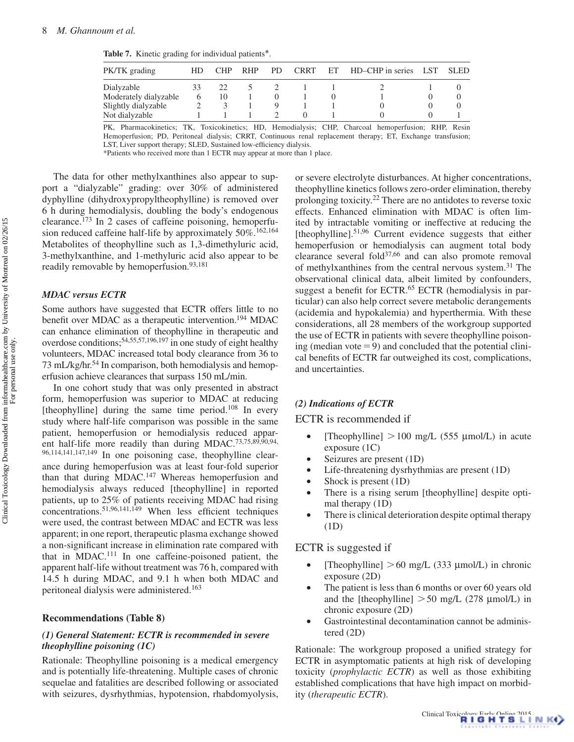<span id="page-7-0"></span>**Table 7.** Kinetic grading for individual patients\*.

| PK/TK grading         | HD | <b>CHP</b> | <b>RHP</b> | PD. | <b>CRRT</b> | ET | HD-CHP in series | LST. | SLED. |
|-----------------------|----|------------|------------|-----|-------------|----|------------------|------|-------|
| Dialyzable            |    | 22         |            |     |             |    |                  |      |       |
| Moderately dialyzable |    | 10         |            |     |             |    |                  |      |       |
| Slightly dialyzable   |    |            |            |     |             |    |                  |      |       |
| Not dialyzable        |    |            |            |     |             |    |                  |      |       |

PK, Pharmacokinetics; TK, Toxicokinetics; HD, Hemodialysis; CHP, Charcoal hemoperfusion; RHP, Resin Hemoperfusion; PD, Peritoneal dialysis; CRRT, Continuous renal replacement therapy; ET, Exchange transfusion; LST, Liver support therapy; SLED, Sustained low-efficiency dialysis.

\*Patients who received more than 1 ECTR may appear at more than 1 place.

The data for other methylxanthines also appear to support a "dialyzable" grading: over 30% of administered dyphylline (dihydroxypropyltheophylline) is removed over 6 h during hemodialysis, doubling the body's endogenous clearance[.173](#page-13-23) In 2 cases of caffeine poisoning, hemoperfusion reduced caffeine half-life by approximately  $50\%$ .<sup>162,[164](#page-13-0)</sup> Metabolites of theophylline such as 1,3-dimethyluric acid, 3-methylxanthine, and 1-methyluric acid also appear to be readily removable by hemoperfusion.<sup>93[,181](#page-13-24)</sup>

# *MDAC versus ECTR*

Some authors have suggested that ECTR offers little to no benefit over MDAC as a therapeutic intervention.<sup>194</sup> MDAC can enhance elimination of theophylline in therapeutic and overdose conditions[;54](#page-11-31)[,55](#page-11-9)[,57,](#page-11-11)[196](#page-14-9),[197](#page-14-10) in one study of eight healthy volunteers, MDAC increased total body clearance from 36 to 73 mL/kg/hr.<sup>54</sup> In comparison, both hemodialysis and hemoperfusion achieve clearances that surpass 150 mL/min.

In one cohort study that was only presented in abstract form, hemoperfusion was superior to MDAC at reducing [theophylline] during the same time period.<sup>108</sup> In every study where half-life comparison was possible in the same patient, hemoperfusion or hemodialysis reduced appar-ent half-life more readily than during MDAC.<sup>[73](#page-11-32)[,75](#page-11-28)[,89,](#page-12-10)[90,](#page-12-11)[94](#page-12-21),</sup> [96](#page-12-3)[,114](#page-12-22)[,141](#page-13-25),[147,](#page-13-26)[149](#page-13-27) In one poisoning case, theophylline clearance during hemoperfusion was at least four-fold superior than that during MDAC.<sup>[147](#page-13-26)</sup> Whereas hemoperfusion and hemodialysis always reduced [theophylline] in reported patients, up to 25% of patients receiving MDAC had rising concentrations.[51](#page-11-6)[,96](#page-12-3)[,141](#page-13-25)[,149](#page-13-27) When less efficient techniques were used, the contrast between MDAC and ECTR was less apparent; in one report, therapeutic plasma exchange showed a non-significant increase in elimination rate compared with that in MDAC. [111](#page-12-1) In one caffeine-poisoned patient, the apparent half-life without treatment was 76 h, compared with 14.5 h during MDAC, and 9.1 h when both MDAC and peritoneal dialysis were administered.<sup>163</sup>

#### **Recommendations [\(Table 8](#page-8-0))**

# *(1) General Statement: ECTR is recommended in severe theophylline poisoning (1C)*

Rationale: Theophylline poisoning is a medical emergency and is potentially life-threatening. Multiple cases of chronic sequelae and fatalities are described following or associated with seizures, dysrhythmias, hypotension, rhabdomyolysis, or severe electrolyte disturbances. At higher concentrations, theophylline kinetics follows zero-order elimination, thereby prolonging toxicity.[22](#page-10-9) There are no antidotes to reverse toxic effects. Enhanced elimination with MDAC is often limited by intractable vomiting or ineffective at reducing the [theophylline].<sup>51[,96](#page-12-3)</sup> Current evidence suggests that either hemoperfusion or hemodialysis can augment total body clearance several fold<sup>[37,](#page-10-23)[66](#page-11-25)</sup> and can also promote removal of methylxanthines from the central nervous system[.31](#page-10-17) The observational clinical data, albeit limited by confounders, suggest a benefit for ECTR.<sup>65</sup> ECTR (hemodialysis in particular) can also help correct severe metabolic derangements (acidemia and hypokalemia) and hyperthermia. With these considerations, all 28 members of the workgroup supported the use of ECTR in patients with severe theophylline poisoning (median vote  $=9$ ) and concluded that the potential clinical benefits of ECTR far outweighed its cost, complications, and uncertainties.

#### *(2) Indications of ECTR*

#### ECTR is recommended if

- [Theophylline]  $> 100$  mg/L (555 µmol/L) in acute exposure (1C)
- Seizures are present (1D)
- Life-threatening dysrhythmias are present (1D)
- Shock is present (1D)
- There is a rising serum [theophylline] despite optimal therapy (1D)
- There is clinical deterioration despite optimal therapy (1D)

#### ECTR is suggested if

- [Theophylline]  $> 60$  mg/L (333 µmol/L) in chronic exposure (2D)
- The patient is less than 6 months or over 60 years old and the [theophylline]  $> 50$  mg/L (278 µmol/L) in chronic exposure (2D)
- Gastrointestinal decontamination cannot be administered (2D)

Rationale: The workgroup proposed a unified strategy for ECTR in asymptomatic patients at high risk of developing toxicity (*prophylactic ECTR*) as well as those exhibiting established complications that have high impact on morbidity (*therapeutic ECTR*).

For personal use only.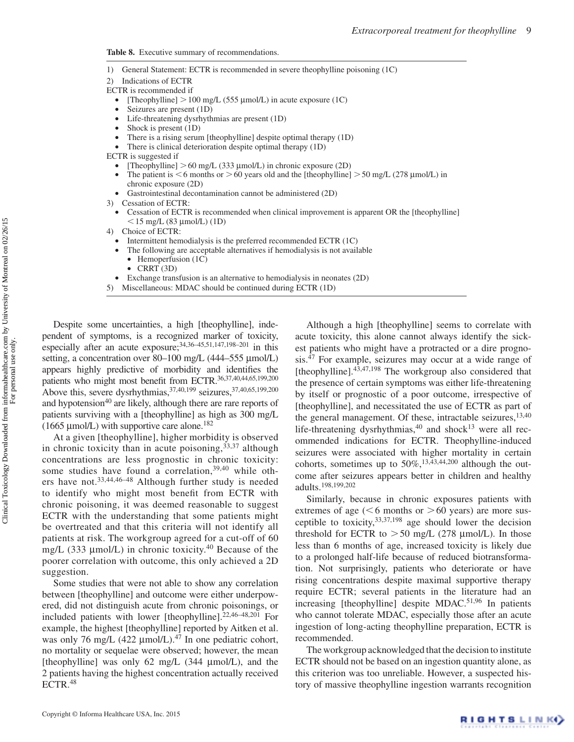<span id="page-8-0"></span>**Table 8.** Executive summary of recommendations.

- 1) General Statement: ECTR is recommended in severe theophylline poisoning (1C)
- 2) Indications of ECTR
- ECTR is recommended if
	- [Theophylline]  $> 100$  mg/L (555 µmol/L) in acute exposure (1C)
	- Seizures are present (1D)
	- Life-threatening dysrhythmias are present (1D)
	- Shock is present (1D)
	- There is a rising serum [theophylline] despite optimal therapy (1D)
	- There is clinical deterioration despite optimal therapy (1D)
- ECTR is suggested if
	- [Theophylline]  $> 60$  mg/L (333 µmol/L) in chronic exposure (2D)
	- The patient is  $<$  6 months or  $>$  60 years old and the [theophylline]  $>$  50 mg/L (278 µmol/L) in chronic exposure (2D)
	- Gastrointestinal decontamination cannot be administered (2D)
- 3) Cessation of ECTR:
	- Cessation of ECTR is recommended when clinical improvement is apparent OR the [theophylline]  $15 \text{ mg/L}$  (83 µmol/L) (1D)
- 4) Choice of ECTR:
	- Intermittent hemodialysis is the preferred recommended ECTR (1C)
	- The following are acceptable alternatives if hemodialysis is not available
		- Hemoperfusion (1C)
		- CRRT (3D)
- Exchange transfusion is an alternative to hemodialysis in neonates (2D)
- 5) Miscellaneous: MDAC should be continued during ECTR (1D)

Despite some uncertainties, a high [theophylline], independent of symptoms, is a recognized marker of toxicity, especially after an acute exposure;<sup>34[,36](#page-10-22)-[45,](#page-11-0)[51](#page-11-6)[,147](#page-13-26),198-201</sup> in this setting, a concentration over 80–100 mg/L (444–555 µmol/L) appears highly predictive of morbidity and identifies the patients who might most benefit from ECTR[.36](#page-10-22)[,37](#page-10-23)[,40](#page-11-23)[,44](#page-11-1)[,65](#page-11-19)[,199](#page-14-13)[,200](#page-14-14) Above this, severe dysrhythmias,  $37,40,199$  $37,40,199$  $37,40,199$  seizures,  $37,40,65,199,200$  $37,40,65,199,200$  $37,40,65,199,200$  $37,40,65,199,200$  $37,40,65,199,200$  $37,40,65,199,200$ and hypotension<sup>40</sup> are likely, although there are rare reports of patients surviving with a [theophylline] as high as 300 mg/L (1665  $\mu$ mol/L) with supportive care alone.<sup>[182](#page-14-0)</sup>

At a given [theophylline], higher morbidity is observed in chronic toxicity than in acute poisoning,  $33,37$  $33,37$  although concentrations are less prognostic in chronic toxicity: some studies have found a correlation,<sup>[39,](#page-10-25)[40](#page-11-23)</sup> while others have not.[33](#page-10-19)[,44](#page-11-1),[46–](#page-11-2)[48](#page-11-3) Although further study is needed to identify who might most benefit from ECTR with chronic poisoning, it was deemed reasonable to suggest ECTR with the understanding that some patients might be overtreated and that this criteria will not identify all patients at risk. The workgroup agreed for a cut-off of 60 mg/L (333  $\mu$ mol/L) in chronic toxicity.<sup>[40](#page-11-23)</sup> Because of the poorer correlation with outcome, this only achieved a 2D suggestion.

Some studies that were not able to show any correlation between [theophylline] and outcome were either underpowered, did not distinguish acute from chronic poisonings, or included patients with lower [theophylline][.22,](#page-10-9)[46–](#page-11-2)[48,](#page-11-3)[201](#page-14-12) For example, the highest [theophylline] reported by Aitken et al. was only 76 mg/L (422  $\mu$ mol/L).<sup>47</sup> In one pediatric cohort, no mortality or sequelae were observed; however, the mean [theophylline] was only 62 mg/L  $(344 \mu mol/L)$ , and the 2 patients having the highest concentration actually received ECTR[.48](#page-11-3)

Although a high [theophylline] seems to correlate with acute toxicity, this alone cannot always identify the sickest patients who might have a protracted or a dire prognosis.[47](#page-11-33) For example, seizures may occur at a wide range of [theophylline]. $43,47,198$  $43,47,198$  $43,47,198$  The workgroup also considered that the presence of certain symptoms was either life-threatening by itself or prognostic of a poor outcome, irrespective of [theophylline], and necessitated the use of ECTR as part of the general management. Of these, intractable seizures, $13,40$  $13,40$ life-threatening dysrhythmias, $40$  and shock $13$  were all recommended indications for ECTR. Theophylline-induced seizures were associated with higher mortality in certain cohorts, sometimes up to  $50\%,^{13,43,44,200}$  $50\%,^{13,43,44,200}$  $50\%,^{13,43,44,200}$  $50\%,^{13,43,44,200}$  $50\%,^{13,43,44,200}$  although the outcome after seizures appears better in children and healthy adults.[198,](#page-14-11)[199](#page-14-13)[,202](#page-14-15)

Similarly, because in chronic exposures patients with extremes of age ( $6$  months or  $> 60$  years) are more susceptible to toxicity,[33](#page-10-19)[,37](#page-10-23)[,198](#page-14-11) age should lower the decision threshold for ECTR to  $> 50$  mg/L (278 µmol/L). In those less than 6 months of age, increased toxicity is likely due to a prolonged half-life because of reduced biotransformation. Not surprisingly, patients who deteriorate or have rising concentrations despite maximal supportive therapy require ECTR; several patients in the literature had an increasing [theophylline] despite MDAC. [51](#page-11-6),[96](#page-12-3) In patients who cannot tolerate MDAC, especially those after an acute ingestion of long-acting theophylline preparation, ECTR is recommended.

The workgroup acknowledged that the decision to institute ECTR should not be based on an ingestion quantity alone, as this criterion was too unreliable. However, a suspected history of massive theophylline ingestion warrants recognition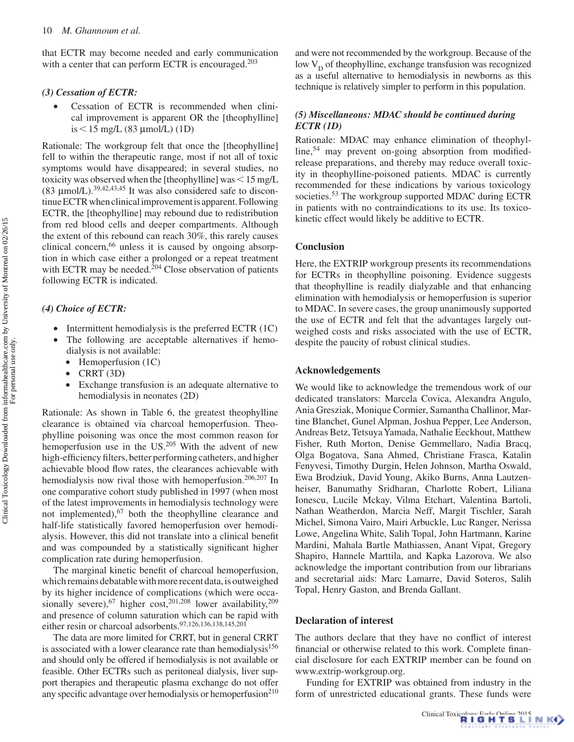that ECTR may become needed and early communication with a center that can perform ECTR is encouraged.<sup>[203](#page-14-16)</sup>

# *(3) Cessation of ECTR:*

• Cessation of ECTR is recommended when clinical improvement is apparent OR the [theophylline] is  $\leq$  15 mg/L (83 µmol/L) (1D)

Rationale: The workgroup felt that once the [theophylline] fell to within the therapeutic range, most if not all of toxic symptoms would have disappeared; in several studies, no toxicity was observed when the [theophylline] was $\leq 15$  mg/L (83  $\mu$ mol/L).<sup>[39,](#page-10-25)[42,](#page-11-35)[43](#page-11-34),[45](#page-11-0)</sup> It was also considered safe to discontinue ECTR when clinical improvement is apparent. Following ECTR, the [theophylline] may rebound due to redistribution from red blood cells and deeper compartments. Although the extent of this rebound can reach 30%, this rarely causes clinical concern,<sup>[66](#page-11-25)</sup> unless it is caused by ongoing absorption in which case either a prolonged or a repeat treatment with ECTR may be needed.<sup>204</sup> Close observation of patients following ECTR is indicated.

# *(4) Choice of ECTR:*

- Intermittent hemodialysis is the preferred ECTR (1C)
- The following are acceptable alternatives if hemodialysis is not available:
- Hemoperfusion (1C)
- CRRT (3D**)**
- Exchange transfusion is an adequate alternative to hemodialysis in neonates (2D)

Rationale: As shown in [Table 6,](#page-6-0) the greatest theophylline clearance is obtained via charcoal hemoperfusion. Theophylline poisoning was once the most common reason for hemoperfusion use in the US.<sup>205</sup> With the advent of new high-efficiency filters, better performing catheters, and higher achievable blood flow rates, the clearances achievable with hemodialysis now rival those with hemoperfusion.<sup>[206,](#page-14-19)207</sup> In one comparative cohort study published in 1997 (when most of the latest improvements in hemodialysis technology were not implemented), $67$  both the theophylline clearance and half-life statistically favored hemoperfusion over hemodialysis. However, this did not translate into a clinical benefit and was compounded by a statistically significant higher complication rate during hemoperfusion.

The marginal kinetic benefit of charcoal hemoperfusion, which remains debatable with more recent data, is outweighed by its higher incidence of complications (which were occasionally severe),  $67$  higher cost,  $201,208$  $201,208$  lower availability,  $209$ and presence of column saturation which can be rapid with either resin or charcoal adsorbents.[97](#page-12-14),[126,](#page-12-23)[136,](#page-13-7)[138](#page-13-2)[,145](#page-13-29)[,201](#page-14-12)

The data are more limited for CRRT, but in general CRRT is associated with a lower clearance rate than hemodialysis<sup>156</sup> and should only be offered if hemodialysis is not available or feasible. Other ECTRs such as peritoneal dialysis, liver support therapies and therapeutic plasma exchange do not offer any specific advantage over hemodialysis or hemoperfusion<sup>210</sup> and were not recommended by the workgroup. Because of the low  $V_D$  of theophylline, exchange transfusion was recognized as a useful alternative to hemodialysis in newborns as this technique is relatively simpler to perform in this population.

# *(5) Miscellaneous: MDAC should be continued during ECTR (1D)*

Rationale: MDAC may enhance elimination of theophylline,[54](#page-11-31) may prevent on-going absorption from modifiedrelease preparations, and thereby may reduce overall toxicity in theophylline-poisoned patients. MDAC is currently recommended for these indications by various toxicology societies.<sup>[53](#page-11-8)</sup> The workgroup supported MDAC during ECTR in patients with no contraindications to its use. Its toxicokinetic effect would likely be additive to ECTR.

# **Conclusion**

Here, the EXTRIP workgroup presents its recommendations for ECTRs in theophylline poisoning. Evidence suggests that theophylline is readily dialyzable and that enhancing elimination with hemodialysis or hemoperfusion is superior to MDAC. In severe cases, the group unanimously supported the use of ECTR and felt that the advantages largely outweighed costs and risks associated with the use of ECTR, despite the paucity of robust clinical studies.

#### **Acknowledgements**

We would like to acknowledge the tremendous work of our dedicated translators: Marcela Covica, Alexandra Angulo, Ania Gresziak, Monique Cormier, Samantha Challinor, Martine Blanchet, Gunel Alpman, Joshua Pepper, Lee Anderson, Andreas Betz, Tetsuya Yamada, Nathalie Eeckhout, Matthew Fisher, Ruth Morton, Denise Gemmellaro, Nadia Bracq, Olga Bogatova, Sana Ahmed, Christiane Frasca, Katalin Fenyvesi, Timothy Durgin, Helen Johnson, Martha Oswald, Ewa Brodziuk, David Young, Akiko Burns, Anna Lautzenheiser, Banumathy Sridharan, Charlotte Robert, Liliana Ionescu, Lucile Mckay, Vilma Etchart, Valentina Bartoli, Nathan Weatherdon, Marcia Neff, Margit Tischler, Sarah Michel, Simona Vairo, Mairi Arbuckle, Luc Ranger, Nerissa Lowe, Angelina White, Salih Topal, John Hartmann, Karine Mardini, Mahala Bartle Mathiassen, Anant Vipat, Gregory Shapiro, Hannele Marttila, and Kapka Lazorova. We also acknowledge the important contribution from our librarians and secretarial aids: Marc Lamarre, David Soteros, Salih Topal, Henry Gaston, and Brenda Gallant.

#### **Declaration of interest**

The authors declare that they have no conflict of interest financial or otherwise related to this work. Complete financial disclosure for each EXTRIP member can be found on [www.extrip-workgroup.org.](http://www.extrip-workgroup.org)

Funding for EXTRIP was obtained from industry in the form of unrestricted educational grants. These funds were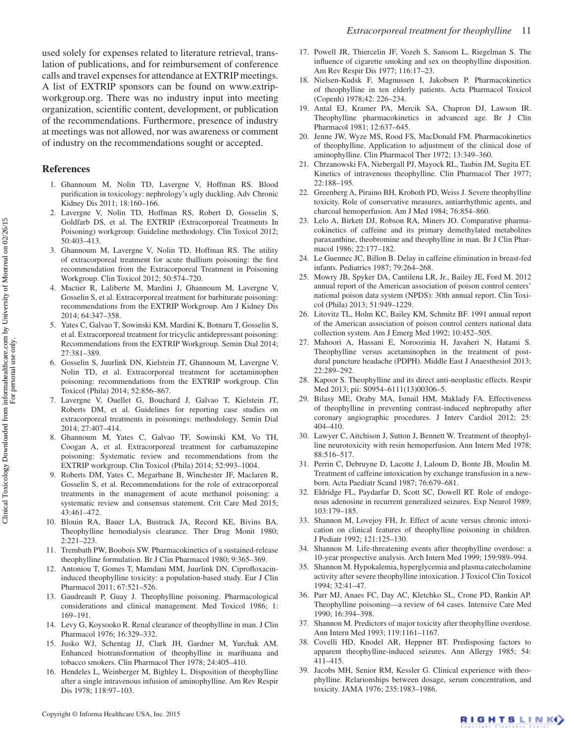used solely for expenses related to literature retrieval, translation of publications, and for reimbursement of conference calls and travel expenses for attendance at EXTRIP meetings. A list of EXTRIP sponsors can be found on [www.extrip](http://www.extripworkgroup.org)[workgroup.org.](http://www.extripworkgroup.org) There was no industry input into meeting organization, scientific content, development, or publication of the recommendations. Furthermore, presence of industry at meetings was not allowed, nor was awareness or comment of industry on the recommendations sought or accepted.

# **References**

- <span id="page-10-0"></span>1. Ghannoum M, Nolin TD, Lavergne V, Hoffman RS. Blood purification in toxicology: nephrology's ugly duckling. Adv Chronic Kidney Dis 2011; 18:160–166.
- <span id="page-10-24"></span>2. Lavergne V, Nolin TD, Hoffman RS, Robert D, Gosselin S, Goldfarb DS, et al. The EXTRIP (Extracorporeal Treatments In Poisoning) workgroup: Guideline methodology. Clin Toxicol 2012; 50:403–413.
- 3. Ghannoum M, Lavergne V, Nolin TD, Hoffman RS. The utility of extracorporeal treatment for acute thallium poisoning: the first recommendation from the Extracorporeal Treatment in Poisoning Workgroup. Clin Toxicol 2012; 50:574–720.
- 4. Mactier R, Laliberte M, Mardini J, Ghannoum M, Lavergne V, Gosselin S, et al. Extracorporeal treatment for barbiturate poisoning: recommendations from the EXTRIP Workgroup. Am J Kidney Dis 2014; 64:347–358.
- 5. Yates C, Galvao T, Sowinski KM, Mardini K, Botnaru T, Gosselin S, et al. Extracorporeal treatment for tricyclic antidepressant poisoning: Recommendations from the EXTRIP Workgroup. Semin Dial 2014; 27:381–389.
- 6. Gosselin S, Juurlink DN, Kielstein JT, Ghannoum M, Lavergne V, Nolin TD, et al. Extracorporeal treatment for acetaminophen poisoning: recommendations from the EXTRIP workgroup. Clin Toxicol (Phila) 2014; 52:856–867.
- 7. Lavergne V, Ouellet G, Bouchard J, Galvao T, Kielstein JT, Roberts DM, et al. Guidelines for reporting case studies on extracorporeal treatments in poisonings: methodology. Semin Dial 2014; 27:407–414.
- 8. Ghannoum M, Yates C, Galvao TF, Sowinski KM, Vo TH, Coogan A, et al. Extracorporeal treatment for carbamazepine poisoning: Systematic review and recommendations from the EXTRIP workgroup. Clin Toxicol (Phila) 2014; 52:993–1004.
- <span id="page-10-1"></span>9. Roberts DM, Yates C, Megarbane B, Winchester JF, Maclaren R, Gosselin S, et al. Recommendations for the role of extracorporeal treatments in the management of acute methanol poisoning: a systematic review and consensus statement. Crit Care Med 2015; 43:461–472.
- <span id="page-10-2"></span>10. Blouin RA, Bauer LA, Bustrack JA, Record KE, Bivins BA. Theophylline hemodialysis clearance. Ther Drug Monit 1980; 2:221–223.
- <span id="page-10-3"></span>11. Trembath PW, Boobois SW. Pharmacokinetics of a sustained-release theophylline formulation. Br J Clin Pharmacol 1980; 9:365–369.
- <span id="page-10-4"></span>12. Antoniou T, Gomes T, Mamdani MM, Juurlink DN. Ciprofloxacininduced theophylline toxicity: a population-based study. Eur J Clin Pharmacol 2011; 67:521–526.
- <span id="page-10-5"></span>13. Gaudreault P, Guay J. Theophylline poisoning. Pharmacological considerations and clinical management. Med Toxicol 1986; 1: 169–191.
- <span id="page-10-6"></span>14. Levy G, Koysooko R. Renal clearance of theophylline in man. J Clin Pharmacol 1976; 16:329–332.
- <span id="page-10-7"></span>15. Jusko WJ, Schentag JJ, Clark JH, Gardner M, Yurchak AM. Enhanced biotransformation of theophylline in marihuana and tobacco smokers. Clin Pharmacol Ther 1978; 24:405–410.
- 16. Hendeles L, Weinberger M, Bighley L. Disposition of theophylline after a single intravenous infusion of aminophylline. Am Rev Respir Dis 1978; 118:97–103.
- 17. Powell JR, Thiercelin JF, Vozeh S, Sansom L, Riegelman S. The influence of cigarette smoking and sex on theophylline disposition. Am Rev Respir Dis 1977; 116:17–23.
- 18. Nielsen-Kudsk F, Magnussen I, Jakobsen P. Pharmacokinetics of theophylline in ten elderly patients. Acta Pharmacol Toxicol (Copenh) 1978;42: 226–234.
- 19. Antal EJ, Kramer PA, Mercik SA, Chapron DJ, Lawson IR. Theophylline pharmacokinetics in advanced age. Br J Clin Pharmacol 1981; 12:637–645.
- 20. Jenne JW, Wyze MS, Rood FS, MacDonald FM. Pharmacokinetics of theophylline. Application to adjustment of the clinical dose of aminophylline. Clin Pharmacol Ther 1972; 13:349–360.
- <span id="page-10-8"></span>21. Chrzanowski FA, Niebergall PJ, Mayock RL, Taubin JM, Sugita ET. Kinetics of intravenous theophylline. Clin Pharmacol Ther 1977; 22:188–195.
- <span id="page-10-9"></span>22. Greenberg A, Piraino BH, Kroboth PD, Weiss J. Severe theophylline toxicity. Role of conservative measures, antiarrhythmic agents, and charcoal hemoperfusion. Am J Med 1984; 76:854–860.
- <span id="page-10-10"></span>23. Lelo A, Birkett DJ, Robson RA, Miners JO. Comparative pharmacokinetics of caffeine and its primary demethylated metabolites paraxanthine, theobromine and theophylline in man. Br J Clin Pharmacol 1986; 22:177–182.
- <span id="page-10-11"></span>24. Le Guennec JC, Billon B. Delay in caffeine elimination in breast-fed infants. Pediatrics 1987; 79:264–268.
- <span id="page-10-12"></span>25. Mowry JB, Spyker DA, Cantilena LR, Jr., Bailey JE, Ford M. 2012 annual report of the American association of poison control centers' national poison data system (NPDS): 30th annual report. Clin Toxicol (Phila) 2013; 51:949–1229.
- <span id="page-10-13"></span>26. Litovitz TL, Holm KC, Bailey KM, Schmitz BF. 1991 annual report of the American association of poison control centers national data collection system. Am J Emerg Med 1992; 10:452–505.
- <span id="page-10-14"></span>27. Mahoori A, Hassani E, Noroozinia H, Javaheri N, Hatami S. Theophylline versus acetaminophen in the treatment of postdural puncture headache (PDPH). Middle East J Anaesthesiol 2013; 22:289–292.
- 28. Kapoor S. Theophylline and its direct anti-neoplastic effects. Respir Med 2013; pii: S0954–6111(13)00306–5.
- <span id="page-10-15"></span>29. Bilasy ME, Oraby MA, Ismail HM, Maklady FA. Effectiveness of theophylline in preventing contrast-induced nephropathy after coronary angiographic procedures. J Interv Cardiol 2012; 25: 404–410.
- <span id="page-10-16"></span>30. Lawyer C, Aitchison J, Sutton J, Bennett W. Treatment of theophylline neurotoxicity with resin hemoperfusion. Ann Intern Med 1978; 88:516–517.
- <span id="page-10-17"></span>31. Perrin C, Debruyne D, Lacotte J, Laloum D, Bonte JB, Moulin M. Treatment of caffeine intoxication by exchange transfusion in a newborn. Acta Paediatr Scand 1987; 76:679–681.
- <span id="page-10-18"></span>32. Eldridge FL, Paydarfar D, Scott SC, Dowell RT. Role of endogenous adenosine in recurrent generalized seizures. Exp Neurol 1989; 103:179–185.
- <span id="page-10-19"></span>33. Shannon M, Lovejoy FH, Jr. Effect of acute versus chronic intoxication on clinical features of theophylline poisoning in children. J Pediatr 1992; 121:125–130.
- <span id="page-10-20"></span>34. Shannon M. Life-threatening events after theophylline overdose: a 10-year prospective analysis. Arch Intern Med 1999; 159:989–994.
- <span id="page-10-21"></span>35. Shannon M. Hypokalemia, hyperglycemia and plasma catecholamine activity after severe theophylline intoxication. J Toxicol Clin Toxicol 1994; 32:41–47.
- <span id="page-10-22"></span>36. Parr MJ, Anaes FC, Day AC, Kletchko SL, Crone PD, Rankin AP. Theophylline poisoning—a review of 64 cases. Intensive Care Med 1990; 16:394–398.
- <span id="page-10-23"></span>37. Shannon M. Predictors of major toxicity after theophylline overdose. Ann Intern Med 1993; 119:1161–1167.
- 38. Covelli HD, Knodel AR, Heppner BT. Predisposing factors to apparent theophylline-induced seizures. Ann Allergy 1985; 54: 411–415.
- <span id="page-10-25"></span>39. Jacobs MH, Senior RM, Kessler G. Clinical experience with theophylline. Relarionships between dosage, serum concentration, and toxicity. JAMA 1976; 235:1983–1986.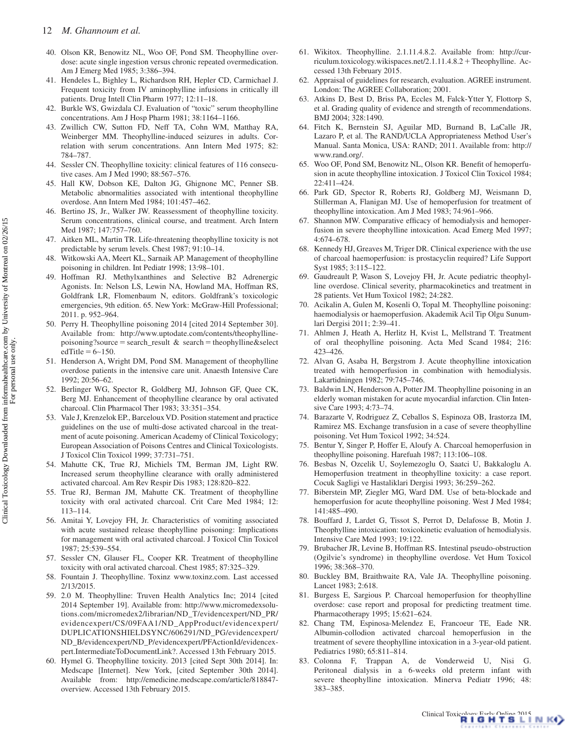- <span id="page-11-23"></span>40. Olson KR, Benowitz NL, Woo OF, Pond SM. Theophylline overdose: acute single ingestion versus chronic repeated overmedication. Am J Emerg Med 1985; 3:386–394.
- 41. Hendeles L, Bighley L, Richardson RH, Hepler CD, Carmichael J. Frequent toxicity from IV aminophylline infusions in critically ill patients. Drug Intell Clin Pharm 1977; 12:11–18.
- <span id="page-11-35"></span>42. Burkle WS, Gwizdala CJ. Evaluation of "toxic" serum theophylline concentrations. Am J Hosp Pharm 1981; 38:1164–1166.
- <span id="page-11-34"></span>43. Zwillich CW, Sutton FD, Neff TA, Cohn WM, Matthay RA, Weinberger MM. Theophylline-induced seizures in adults. Correlation with serum concentrations. Ann Intern Med 1975; 82: 784–787.
- <span id="page-11-1"></span>44. Sessler CN. Theophylline toxicity: clinical features of 116 consecutive cases. Am J Med 1990; 88:567–576.
- <span id="page-11-0"></span>45. Hall KW, Dobson KE, Dalton JG, Ghignone MC, Penner SB. Metabolic abnormalities associated with intentional theophylline overdose. Ann Intern Med 1984; 101:457–462.
- <span id="page-11-2"></span>46. Bertino JS, Jr., Walker JW. Reassessment of theophylline toxicity. Serum concentrations, clinical course, and treatment. Arch Intern Med 1987; 147:757–760.
- <span id="page-11-33"></span>47. Aitken ML, Martin TR. Life-threatening theophylline toxicity is not predictable by serum levels. Chest 1987; 91:10–14.
- <span id="page-11-3"></span>48. Witkowski AA, Meert KL, Sarnaik AP. Management of theophylline poisoning in children. Int Pediatr 1998; 13:98–101.
- <span id="page-11-4"></span>49. Hoffman RJ. Methylxanthines and Selective B2 Adrenergic Agonists. In: Nelson LS, Lewin NA, Howland MA, Hoffman RS, Goldfrank LR, Flomenbaum N, editors. Goldfrank's toxicologic emergencies, 9th edition. 65. New York: McGraw-Hill Professional; 2011. p. 952–964.
- <span id="page-11-5"></span>50. Perry H. Theophylline poisoning 2014 [cited 2014 September 30]. Available from: [http://www.uptodate.com/contents/theophylline](http://www.uptodate.com/contents/theophylline-poisoning?source <2009>  <E035>  <2009> search_result)[poisoning?source](http://www.uptodate.com/contents/theophylline-poisoning?source <2009>  <E035>  <2009> search_result) = search\_result & search = theophylline&select edTitle =  $6~150$ .
- <span id="page-11-6"></span>51. Henderson A, Wright DM, Pond SM. Management of theophylline overdose patients in the intensive care unit. Anaesth Intensive Care 1992; 20:56–62.
- <span id="page-11-7"></span>52. Berlinger WG, Spector R, Goldberg MJ, Johnson GF, Quee CK, Berg MJ. Enhancement of theophylline clearance by oral activated charcoal. Clin Pharmacol Ther 1983; 33:351–354.
- <span id="page-11-8"></span>53. Vale J, Krenzelok EP., Barceloux VD. Position statement and practice guidelines on the use of multi-dose activated charcoal in the treatment of acute poisoning. American Academy of Clinical Toxicology; European Association of Poisons Centres and Clinical Toxicologists. J Toxicol Clin Toxicol 1999; 37:731–751.
- <span id="page-11-31"></span>54. Mahutte CK, True RJ, Michiels TM, Berman JM, Light RW. Increased serum theophylline clearance with orally administered activated charcoal. Am Rev Respir Dis 1983; 128:820–822.
- <span id="page-11-9"></span>55. True RJ, Berman JM, Mahutte CK. Treatment of theophylline toxicity with oral activated charcoal. Crit Care Med 1984; 12: 113–114.
- <span id="page-11-10"></span>56. Amitai Y, Lovejoy FH, Jr. Characteristics of vomiting associated with acute sustained release theophylline poisoning: Implications for management with oral activated charcoal. J Toxicol Clin Toxicol 1987; 25:539–554.
- <span id="page-11-11"></span>57. Sessler CN, Glauser FL, Cooper KR. Treatment of theophylline toxicity with oral activated charcoal. Chest 1985; 87:325–329.
- <span id="page-11-12"></span>58. Fountain J. Theophylline. Toxinz [www.toxinz.com.](http://www.toxinz.com ) Last accessed 2/13/2015.
- <span id="page-11-15"></span>59. 2.0 M. Theophylline: Truven Health Analytics Inc; 2014 [cited 2014 September 19]. Available from: [http://www.micromedexsolu](http://www.micromedexsolutions.com/micromedex2/librarian/ND_T/evidencexpert/ND_PR/evidencexpert/CS/09FAA1/ND_AppProduct/evidencexpert/DUPLICATIONSHIELDSYNC/606291/ND_PG/evidencexpert/ND_B/evidencexpert/ND_P/evidencexpert/PFActionId/evidencexpert.IntermediateToDocumentLink?)[tions.com/micromedex2/librarian/ND\\_T/evidencexpert/ND\\_PR/](http://www.micromedexsolutions.com/micromedex2/librarian/ND_T/evidencexpert/ND_PR/evidencexpert/CS/09FAA1/ND_AppProduct/evidencexpert/DUPLICATIONSHIELDSYNC/606291/ND_PG/evidencexpert/ND_B/evidencexpert/ND_P/evidencexpert/PFActionId/evidencexpert.IntermediateToDocumentLink?) [evidencexpert/CS/09FAA1/ND\\_AppProduct/evidencexpert/](http://www.micromedexsolutions.com/micromedex2/librarian/ND_T/evidencexpert/ND_PR/evidencexpert/CS/09FAA1/ND_AppProduct/evidencexpert/DUPLICATIONSHIELDSYNC/606291/ND_PG/evidencexpert/ND_B/evidencexpert/ND_P/evidencexpert/PFActionId/evidencexpert.IntermediateToDocumentLink?) [DUPLICATIONSHIELDSYNC/606291/ND\\_PG/evidencexpert/](http://www.micromedexsolutions.com/micromedex2/librarian/ND_T/evidencexpert/ND_PR/evidencexpert/CS/09FAA1/ND_AppProduct/evidencexpert/DUPLICATIONSHIELDSYNC/606291/ND_PG/evidencexpert/ND_B/evidencexpert/ND_P/evidencexpert/PFActionId/evidencexpert.IntermediateToDocumentLink?) [ND\\_B/evidencexpert/ND\\_P/evidencexpert/PFActionId/evidencex](http://www.micromedexsolutions.com/micromedex2/librarian/ND_T/evidencexpert/ND_PR/evidencexpert/CS/09FAA1/ND_AppProduct/evidencexpert/DUPLICATIONSHIELDSYNC/606291/ND_PG/evidencexpert/ND_B/evidencexpert/ND_P/evidencexpert/PFActionId/evidencexpert.IntermediateToDocumentLink?)[pert.IntermediateToDocumentLink?.](http://www.micromedexsolutions.com/micromedex2/librarian/ND_T/evidencexpert/ND_PR/evidencexpert/CS/09FAA1/ND_AppProduct/evidencexpert/DUPLICATIONSHIELDSYNC/606291/ND_PG/evidencexpert/ND_B/evidencexpert/ND_P/evidencexpert/PFActionId/evidencexpert.IntermediateToDocumentLink?) Accessed 13th February 2015.
- <span id="page-11-13"></span>60. Hymel G. Theophylline toxicity. 2013 [cited Sept 30th 2014]. In: Medscape [Internet]. New York, [cited September 30th 2014]. Available from: [http://emedicine.medscape.com/article/818847](http://emedicine.medscape.com/article/818847-overview) [overview.](http://emedicine.medscape.com/article/818847-overview) Accessed 13th February 2015.
- <span id="page-11-14"></span>61. Wikitox. Theophylline. 2.1.11.4.8.2. Available from: [http://cur](http://curriculum.toxicology.wikispaces.net/2.1.11.4.8.2 <2009>  <E031>  <2009> Theophylline)[riculum.toxicology.wikispaces.net/2.1.11.4.8.2](http://curriculum.toxicology.wikispaces.net/2.1.11.4.8.2 <2009>  <E031>  <2009> Theophylline) + Theophylline. Accessed 13th February 2015.
- <span id="page-11-16"></span>62. Appraisal of guidelines for research, evaluation. AGREE instrument. London: The AGREE Collaboration; 2001.
- <span id="page-11-17"></span>63. Atkins D, Best D, Briss PA, Eccles M, Falck-Ytter Y, Flottorp S, et al. Grading quality of evidence and strength of recommendations. BMJ 2004; 328:1490.
- <span id="page-11-18"></span>64. Fitch K, Bernstein SJ, Aguilar MD, Burnand B, LaCalle JR, Lazaro P, et al. The RAND/UCLA Appropriateness Method User's Manual. Santa Monica, USA: RAND; 2011. Available from: [http://](http://www.rand.org/) [www.rand.org/.](http://www.rand.org/)
- <span id="page-11-19"></span>65. Woo OF, Pond SM, Benowitz NL, Olson KR. Benefit of hemoperfusion in acute theophylline intoxication. J Toxicol Clin Toxicol 1984; 22:411–424.
- <span id="page-11-25"></span>66. Park GD, Spector R, Roberts RJ, Goldberg MJ, Weismann D, Stillerman A, Flanigan MJ. Use of hemoperfusion for treatment of theophylline intoxication. Am J Med 1983; 74:961–966.
- <span id="page-11-20"></span>67. Shannon MW. Comparative efficacy of hemodialysis and hemoperfusion in severe theophylline intoxication. Acad Emerg Med 1997; 4:674–678.
- <span id="page-11-21"></span>68. Kennedy HJ, Greaves M, Triger DR. Clinical experience with the use of charcoal haemoperfusion: is prostacyclin required? Life Support Syst 1985; 3:115–122.
- <span id="page-11-22"></span>69. Gaudreault P, Wason S, Lovejoy FH, Jr. Acute pediatric theophylline overdose. Clinical severity, pharmacokinetics and treatment in 28 patients. Vet Hum Toxicol 1982; 24:282.
- <span id="page-11-24"></span>70. Acikalin A, Gulen M, Kosenli O, Topal M. Theophylline poisoning: haemodialysis or haemoperfusion. Akademik Acil Tip Olgu Sunumlari Dergisi 2011; 2:39–41.
- 71. Ahlmen J, Heath A, Herlitz H, Kvist L, Mellstrand T. Treatment of oral theophylline poisoning. Acta Med Scand 1984; 216: 423–426.
- 72. Alvan G, Asaba H, Bergstrom J. Acute theophylline intoxication treated with hemoperfusion in combination with hemodialysis. Lakartidningen 1982; 79:745–746.
- <span id="page-11-32"></span>73. Baldwin LN, Henderson A, Potter JM. Theophylline poisoning in an elderly woman mistaken for acute myocardial infarction. Clin Intensive Care 1993; 4:73–74.
- <span id="page-11-26"></span>74. Barazarte V, Rodriguez Z, Ceballos S, Espinoza OB, Irastorza IM, Ramirez MS. Exchange transfusion in a case of severe theophylline poisoning. Vet Hum Toxicol 1992; 34:524.
- <span id="page-11-28"></span>75. Bentur Y, Singer P, Hoffer E, Aloufy A. Charcoal hemoperfusion in theophylline poisoning. Harefuah 1987; 113:106–108.
- 76. Besbas N, Ozcelik U, Soylemezoglu O, Saatci U, Bakkaloglu A. Hemoperfusion treatment in theophylline toxicity: a case report. Cocuk Sagligi ve Hastaliklari Dergisi 1993; 36:259–262.
- <span id="page-11-27"></span>77. Biberstein MP, Ziegler MG, Ward DM. Use of beta-blockade and hemoperfusion for acute theophylline poisoning. West J Med 1984; 141:485–490.
- 78. Bouffard J, Lardet G, Tissot S, Perrot D, Delafosse B, Motin J. Theophylline intoxication: toxicokinetic evaluation of hemodialysis. Intensive Care Med 1993; 19:122.
- 79. Brubacher JR, Levine B, Hoffman RS. Intestinal pseudo-obstruction (Ogilvie's syndrome) in theophylline overdose. Vet Hum Toxicol 1996; 38:368–370.
- 80. Buckley BM, Braithwaite RA, Vale JA. Theophylline poisoning. Lancet 1983; 2:618.
- 81. Burgess E, Sargious P. Charcoal hemoperfusion for theophylline overdose: case report and proposal for predicting treatment time. Pharmacotherapy 1995; 15:621–624.
- <span id="page-11-29"></span>82. Chang TM, Espinosa-Melendez E, Francoeur TE, Eade NR. Albumin-collodion activated charcoal hemoperfusion in the treatment of severe theophylline intoxication in a 3-year-old patient.
- <span id="page-11-30"></span>Pediatrics 1980; 65:811–814.<br>83. Colonna F, Trappan A, de Vonderweid U, Nisi G. Peritoneal dialysis in a 6-weeks old preterm infant with severe theophylline intoxication. Minerva Pediatr 1996; 48: 383–385.

Clinical Toxicology Early Online 2015<br>R 1 G H T S L I N K()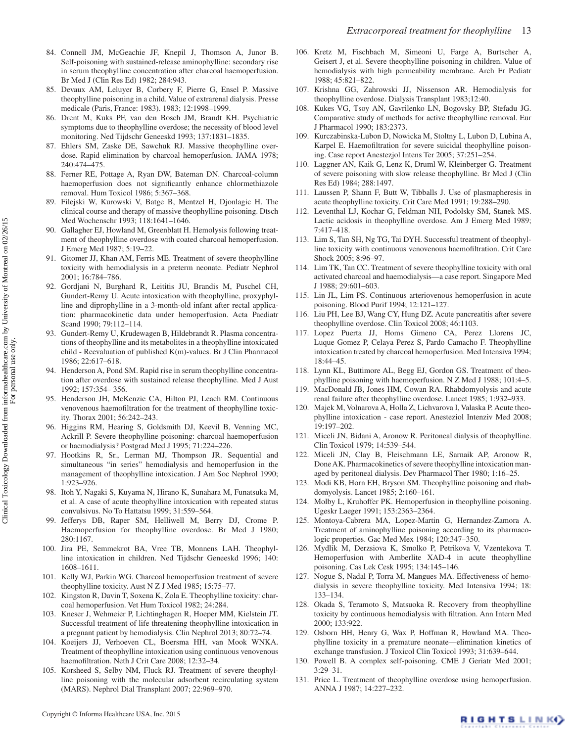- <span id="page-12-4"></span>84. Connell JM, McGeachie JF, Knepil J, Thomson A, Junor B. Self-poisoning with sustained-release aminophylline: secondary rise in serum theophylline concentration after charcoal haemoperfusion. Br Med J (Clin Res Ed) 1982; 284:943.
- <span id="page-12-16"></span>85. Devaux AM, Leluyer B, Corbery F, Pierre G, Ensel P. Massive theophylline poisoning in a child. Value of extrarenal dialysis. Presse medicale (Paris, France: 1983). 1983; 12:1998–1999.
- 86. Drent M, Kuks PF, van den Bosch JM, Brandt KH. Psychiatric symptoms due to theophylline overdose; the necessity of blood level monitoring. Ned Tijdschr Geneeskd 1993; 137:1831–1835.
- <span id="page-12-5"></span>87. Ehlers SM, Zaske DE, Sawchuk RJ. Massive theophylline overdose. Rapid elimination by charcoal hemoperfusion. JAMA 1978; 240:474–475.
- 88. Ferner RE, Pottage A, Ryan DW, Bateman DN. Charcoal-column haemoperfusion does not significantly enhance chlormethiazole removal. Hum Toxicol 1986; 5:367–368.
- <span id="page-12-10"></span>89. Filejski W, Kurowski V, Batge B, Mentzel H, Djonlagic H. The clinical course and therapy of massive theophylline poisoning. Dtsch Med Wochenschr 1993; 118:1641–1646.
- <span id="page-12-11"></span>90. Gallagher EJ, Howland M, Greenblatt H. Hemolysis following treatment of theophylline overdose with coated charcoal hemoperfusion. J Emerg Med 1987; 5:19–22.
- <span id="page-12-0"></span>91. Gitomer JJ, Khan AM, Ferris ME. Treatment of severe theophylline toxicity with hemodialysis in a preterm neonate. Pediatr Nephrol 2001; 16:784–786.
- 92. Gordjani N, Burghard R, Leititis JU, Brandis M, Puschel CH, Gundert-Remy U. Acute intoxication with theophylline, proxyphylline and diprophylline in a 3-month-old infant after rectal application: pharmacokinetic data under hemoperfusion. Acta Paediatr Scand 1990; 79:112–114.
- <span id="page-12-19"></span>93. Gundert-Remy U, Krudewagen B, Hildebrandt R. Plasma concentrations of theophylline and its metabolites in a theophylline intoxicated child - Reevaluation of published K(m)-values. Br J Clin Pharmacol 1986; 22:617–618.
- <span id="page-12-21"></span>94. Henderson A, Pond SM. Rapid rise in serum theophylline concentration after overdose with sustained release theophylline. Med J Aust 1992; 157:354– 356.
- 95. Henderson JH, McKenzie CA, Hilton PJ, Leach RM. Continuous venovenous haemofiltration for the treatment of theophylline toxicity. Thorax 2001; 56:242–243.
- <span id="page-12-3"></span>96. Higgins RM, Hearing S, Goldsmith DJ, Keevil B, Venning MC, Ackrill P. Severe theophylline poisoning: charcoal haemoperfusion or haemodialysis? Postgrad Med J 1995; 71:224–226.
- <span id="page-12-14"></span>97. Hootkins R, Sr., Lerman MJ, Thompson JR. Sequential and simultaneous "in series" hemodialysis and hemoperfusion in the management of theophylline intoxication. J Am Soc Nephrol 1990; 1:923–926.
- 98. Itoh Y, Nagaki S, Kuyama N, Hirano K, Sunahara M, Funatsuka M, et al. A case of acute theophylline intoxication with repeated status convulsivus. No To Hattatsu 1999; 31:559–564.
- 99. Jefferys DB, Raper SM, Helliwell M, Berry DJ, Crome P. Haemoperfusion for theophylline overdose. Br Med J 1980; 280:1167.
- 100. Jira PE, Semmekrot BA, Vree TB, Monnens LAH. Theophylline intoxication in children. Ned Tijdschr Geneeskd 1996; 140: 1608–1611.
- <span id="page-12-6"></span>101. Kelly WJ, Parkin WG. Charcoal hemoperfusion treatment of severe theophylline toxicity. Aust N Z J Med 1985; 15:75–77.
- 102. Kingston R, Davin T, Soxena K, Zola E. Theophylline toxicity: charcoal hemoperfusion. Vet Hum Toxicol 1982; 24:284.
- <span id="page-12-13"></span>103. Kneser J, Wehmeier P, Lichtinghagen R, Hoeper MM, Kielstein JT. Successful treatment of life threatening theophylline intoxication in a pregnant patient by hemodialysis. Clin Nephrol 2013; 80:72–74.
- 104. Koeijers JJ, Verhoeven CL, Boersma HH, van Mook WNKA. Treatment of theophylline intoxication using continuous venovenous haemofiltration. Neth J Crit Care 2008; 12:32–34.
- 105. Korsheed S, Selby NM, Fluck RJ. Treatment of severe theophylline poisoning with the molecular adsorbent recirculating system (MARS). Nephrol Dial Transplant 2007; 22:969–970.
- 106. Kretz M, Fischbach M, Simeoni U, Farge A, Burtscher A, Geisert J, et al. Severe theophylline poisoning in children. Value of hemodialysis with high permeability membrane. Arch Fr Pediatr 1988; 45:821–822.
- 107. Krishna GG, Zahrowski JJ, Nissenson AR. Hemodialysis for theophylline overdose. Dialysis Transplant 1983;12:40.
- <span id="page-12-20"></span>108. Kukes VG, Tsoy AN, Gavrilenko LN, Bogovsky BP, Stefadu JG. Comparative study of methods for active theophylline removal. Eur J Pharmacol 1990; 183:2373.
- 109. Kurczabinska-Lubon D, Nowicka M, Stoltny L, Lubon D, Lubina A, Karpel E. Haemofiltration for severe suicidal theophylline poisoning. Case report Anestezjol Intens Ter 2005; 37:251–254.
- 110. Laggner AN, Kaik G, Lenz K, Druml W, Kleinberger G. Treatment of severe poisoning with slow release theophylline. Br Med J (Clin Res Ed) 1984; 288:1497.
- <span id="page-12-1"></span>111. Laussen P, Shann F, Butt W, Tibballs J. Use of plasmapheresis in acute theophylline toxicity. Crit Care Med 1991; 19:288–290.
- 112. Leventhal LJ, Kochar G, Feldman NH, Podolsky SM, Stanek MS. Lactic acidosis in theophylline overdose. Am J Emerg Med 1989; 7:417–418.
- 113. Lim S, Tan SH, Ng TG, Tai DYH. Successful treatment of theophylline toxicity with continuous venovenous haemofiltration. Crit Care Shock 2005; 8:96–97.
- <span id="page-12-22"></span>114. Lim TK, Tan CC. Treatment of severe theophylline toxicity with oral activated charcoal and haemodialysis—a case report. Singapore Med J 1988; 29:601–603.
- <span id="page-12-7"></span>115. Lin JL, Lim PS. Continuous arteriovenous hemoperfusion in acute poisoning. Blood Purif 1994; 12:121–127.
- 116. Liu PH, Lee BJ, Wang CY, Hung DZ. Acute pancreatitis after severe theophylline overdose. Clin Toxicol 2008; 46:1103.
- 117. Lopez Puerta JJ, Homs Gimeno CA, Perez Llorens JC, Luque Gomez P, Celaya Perez S, Pardo Camacho F. Theophylline intoxication treated by charcoal hemoperfusion. Med Intensiva 1994; 18:44–45.
- <span id="page-12-8"></span>118. Lynn KL, Buttimore AL, Begg EJ, Gordon GS. Treatment of theophylline poisoning with haemoperfusion. N Z Med J 1988; 101:4–5.
- 119. MacDonald JB, Jones HM, Cowan RA. Rhabdomyolysis and acute renal failure after theophylline overdose. Lancet 1985; 1:932–933.
- 120. Majek M, Volnarova A, Holla Z, Lichvarova I, Valaska P. Acute theophylline intoxication - case report. Anesteziol Intenziv Med 2008; 19:197–202.
- <span id="page-12-17"></span>121. Miceli JN, Bidani A, Aronow R. Peritoneal dialysis of theophylline. Clin Toxicol 1979; 14:539–544.
- 122. Miceli JN, Clay B, Fleischmann LE, Sarnaik AP, Aronow R, Done AK. Pharmacokinetics of severe theophylline intoxication managed by peritoneal dialysis. Dev Pharmacol Ther 1980; 1:16–25.
- 123. Modi KB, Horn EH, Bryson SM. Theophylline poisoning and rhabdomyolysis. Lancet 1985; 2:160–161.
- <span id="page-12-9"></span>124. Molby L, Kruhoffer PK. Hemoperfusion in theophylline poisoning. Ugeskr Laeger 1991; 153:2363–2364.
- <span id="page-12-18"></span>125. Montoya-Cabrera MA, Lopez-Martin G, Hernandez-Zamora A. Treatment of aminophylline poisoning according to its pharmacologic properties. Gac Med Mex 1984; 120:347–350.
- <span id="page-12-23"></span>126. Mydlik M, Derzsiova K, Smolko P, Petrikova V, Vzentekova T. Hemoperfusion with Amberlite XAD-4 in acute theophylline poisoning. Cas Lek Cesk 1995; 134:145–146.
- <span id="page-12-2"></span>127. Nogue S, Nadal P, Torra M, Mangues MA. Effectiveness of hemodialysis in severe theophylline toxicity. Med Intensiva 1994; 18: 133–134.
- 128. Okada S, Teramoto S, Matsuoka R. Recovery from theophylline toxicity by continuous hemodialysis with filtration. Ann Intern Med 2000; 133:922.
- <span id="page-12-15"></span>129. Osborn HH, Henry G, Wax P, Hoffman R, Howland MA. Theophylline toxicity in a premature neonate—elimination kinetics of exchange transfusion. J Toxicol Clin Toxicol 1993; 31:639–644.
- 130. Powell B. A complex self-poisoning. CME J Geriatr Med 2001; 3:29–31.
- <span id="page-12-12"></span>131. Price L. Treatment of theophylline overdose using hemoperfusion. ANNA J 1987; 14:227–232.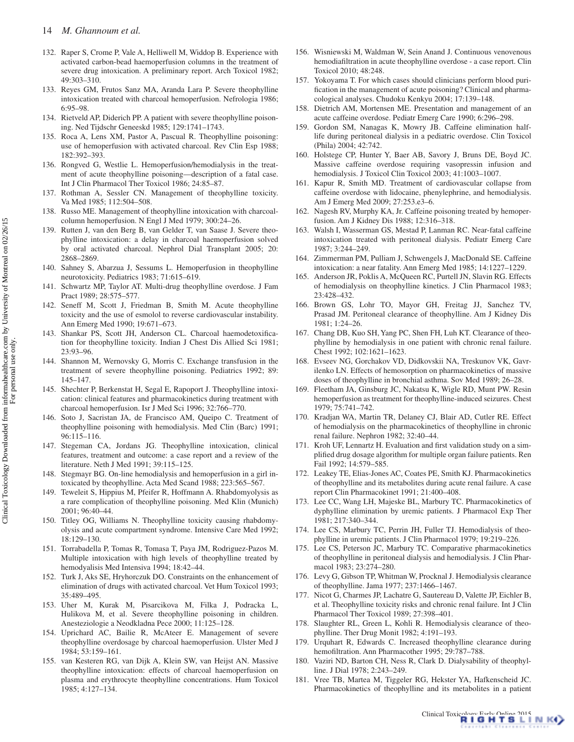- 132. Raper S, Crome P, Vale A, Helliwell M, Widdop B. Experience with activated carbon-bead haemoperfusion columns in the treatment of severe drug intoxication. A preliminary report. Arch Toxicol 1982; 49:303–310.
- 133. Reyes GM, Frutos Sanz MA, Aranda Lara P. Severe theophylline intoxication treated with charcoal hemoperfusion. Nefrologia 1986; 6:95–98.
- <span id="page-13-10"></span>134. Rietveld AP, Diderich PP. A patient with severe theophylline poisoning. Ned Tijdschr Geneeskd 1985; 129:1741–1743.
- <span id="page-13-6"></span>135. Roca A, Lens XM, Pastor A, Pascual R. Theophylline poisoning: use of hemoperfusion with activated charcoal. Rev Clin Esp 1988; 182:392–393.
- <span id="page-13-7"></span>136. Rongved G, Westlie L. Hemoperfusion/hemodialysis in the treatment of acute theophylline poisoning—description of a fatal case. Int J Clin Pharmacol Ther Toxicol 1986; 24:85–87.
- <span id="page-13-11"></span>137. Rothman A, Sessler CN. Management of theophylline toxicity. Va Med 1985; 112:504–508.
- <span id="page-13-2"></span>138. Russo ME. Management of theophylline intoxication with charcoalcolumn hemoperfusion. N Engl J Med 1979; 300:24–26.
- 139. Rutten J, van den Berg B, van Gelder T, van Saase J. Severe theophylline intoxication: a delay in charcoal haemoperfusion solved by oral activated charcoal. Nephrol Dial Transplant 2005; 20: 2868–2869.
- <span id="page-13-8"></span>140. Sahney S, Abarzua J, Sessums L. Hemoperfusion in theophylline neurotoxicity. Pediatrics 1983; 71:615–619.
- <span id="page-13-25"></span>141. Schwartz MP, Taylor AT. Multi-drug theophylline overdose. J Fam Pract 1989; 28:575–577.
- 142. Seneff M, Scott J, Friedman B, Smith M. Acute theophylline toxicity and the use of esmolol to reverse cardiovascular instability. Ann Emerg Med 1990; 19:671–673.
- <span id="page-13-3"></span>143. Shankar PS, Scott JH, Anderson CL. Charcoal haemodetoxification for theophylline toxicity. Indian J Chest Dis Allied Sci 1981; 23:93–96.
- 144. Shannon M, Wernovsky G, Morris C. Exchange transfusion in the treatment of severe theophylline poisoning. Pediatrics 1992; 89: 145–147.
- <span id="page-13-29"></span>145. Shechter P, Berkenstat H, Segal E, Rapoport J. Theophylline intoxication: clinical features and pharmacokinetics during treatment with charcoal hemoperfusion. Isr J Med Sci 1996; 32:766–770.
- 146. Soto J, Sacristan JA, de Francisco AM, Queipo C. Treatment of theophylline poisoning with hemodialysis. Med Clin (Barc) 1991; 96:115–116.
- <span id="page-13-26"></span>147. Stegeman CA, Jordans JG. Theophylline intoxication, clinical features, treatment and outcome: a case report and a review of the literature. Neth J Med 1991; 39:115–125.
- 148. Stegmayr BG. On-line hemodialysis and hemoperfusion in a girl intoxicated by theophylline. Acta Med Scand 1988; 223:565–567.
- <span id="page-13-27"></span>149. Teweleit S, Hippius M, Pfeifer R, Hoffmann A. Rhabdomyolysis as a rare complication of theophylline poisoning. Med Klin (Munich) 2001; 96:40–44.
- <span id="page-13-9"></span>150. Titley OG, Williams N. Theophylline toxicity causing rhabdomyolysis and acute compartment syndrome. Intensive Care Med 1992; 18:129–130.
- <span id="page-13-4"></span>151. Torrabadella P, Tomas R, Tomasa T, Paya JM, Rodriguez-Pazos M. Multiple intoxication with high levels of theophylline treated by hemodyalisis Med Intensiva 1994; 18:42–44.
- <span id="page-13-12"></span>152. Turk J, Aks SE, Hryhorczuk DO. Constraints on the enhancement of elimination of drugs with activated charcoal. Vet Hum Toxicol 1993; 35:489–495.
- 153. Uher M, Kurak M, Pisarcikova M, Filka J, Podracka L, Hulikova M, et al. Severe theophylline poisoning in children. Anesteziologie a Neodkladna Pece 2000; 11:125–128.
- <span id="page-13-13"></span>154. Uprichard AC, Bailie R, McAteer E. Management of severe theophylline overdosage by charcoal haemoperfusion. Ulster Med J 1984; 53:159–161.
- 155. van Kesteren RG, van Dijk A, Klein SW, van Heijst AN. Massive theophylline intoxication: effects of charcoal haemoperfusion on plasma and erythrocyte theophylline concentrations. Hum Toxicol 1985; 4:127–134.
- <span id="page-13-20"></span>156. Wisniewski M, Waldman W, Sein Anand J. Continuous venovenous hemodiafiltration in acute theophylline overdose - a case report. Clin Toxicol 2010; 48:248.
- 157. Yokoyama T. For which cases should clinicians perform blood purification in the management of acute poisoning? Clinical and pharmacological analyses. Chudoku Kenkyu 2004; 17:139–148.
- <span id="page-13-14"></span>158. Dietrich AM, Mortensen ME. Presentation and management of an acute caffeine overdose. Pediatr Emerg Care 1990; 6:296–298.
- 159. Gordon SM, Nanagas K, Mowry JB. Caffeine elimination halflife during peritoneal dialysis in a pediatric overdose. Clin Toxicol (Phila) 2004; 42:742.
- 160. Holstege CP, Hunter Y, Baer AB, Savory J, Bruns DE, Boyd JC. Massive caffeine overdose requiring vasopressin infusion and hemodialysis. J Toxicol Clin Toxicol 2003; 41:1003–1007.
- 161. Kapur R, Smith MD. Treatment of cardiovascular collapse from caffeine overdose with lidocaine, phenylephrine, and hemodialysis. Am J Emerg Med 2009; 27:253.e3–6.
- <span id="page-13-15"></span>162. Nagesh RV, Murphy KA, Jr. Caffeine poisoning treated by hemoperfusion. Am J Kidney Dis 1988; 12:316–318.
- <span id="page-13-28"></span>163. Walsh I, Wasserman GS, Mestad P, Lanman RC. Near-fatal caffeine intoxication treated with peritoneal dialysis. Pediatr Emerg Care 1987; 3:244–249.
- <span id="page-13-0"></span>164. Zimmerman PM, Pulliam J, Schwengels J, MacDonald SE. Caffeine intoxication: a near fatality. Ann Emerg Med 1985; 14:1227–1229.
- <span id="page-13-1"></span>165. Anderson JR, Poklis A, McQueen RC, Purtell JN, Slavin RG. Effects of hemodialysis on theophylline kinetics. J Clin Pharmacol 1983; 23:428–432.
- <span id="page-13-22"></span>166. Brown GS, Lohr TO, Mayor GH, Freitag JJ, Sanchez TV, Prasad JM. Peritoneal clearance of theophylline. Am J Kidney Dis 1981; 1:24–26.
- 167. Chang DB, Kuo SH, Yang PC, Shen FH, Luh KT. Clearance of theophylline by hemodialysis in one patient with chronic renal failure. Chest 1992; 102:1621–1623.
- 168. Evseev NG, Gorchakov VD, Didkovskii NA, Treskunov VK, Gavrilenko LN. Effects of hemosorption on pharmacokinetics of massive doses of theophylline in bronchial asthma. Sov Med 1989; 26–28.
- <span id="page-13-5"></span>169. Fleetham JA, Ginsburg JC, Nakatsu K, Wigle RD, Munt PW. Resin hemoperfusion as treatment for theophylline-induced seizures. Chest 1979; 75:741–742.
- <span id="page-13-17"></span>170. Kradjan WA, Martin TR, Delaney CJ, Blair AD, Cutler RE. Effect of hemodialysis on the pharmacokinetics of theophylline in chronic renal failure. Nephron 1982; 32:40–44.
- 171. Kroh UF, Lennartz H. Evaluation and first validation study on a simplified drug dosage algorithm for multiple organ failure patients. Ren Fail 1992; 14:579–585.
- 172. Leakey TE, Elias-Jones AC, Coates PE, Smith KJ. Pharmacokinetics of theophylline and its metabolites during acute renal failure. A case report Clin Pharmacokinet 1991; 21:400–408.
- <span id="page-13-23"></span>173. Lee CC, Wang LH, Majeske BL, Marbury TC. Pharmacokinetics of dyphylline elimination by uremic patients. J Pharmacol Exp Ther 1981; 217:340–344.
- <span id="page-13-18"></span>174. Lee CS, Marbury TC, Perrin JH, Fuller TJ. Hemodialysis of theophylline in uremic patients. J Clin Pharmacol 1979; 19:219–226.
- <span id="page-13-21"></span>175. Lee CS, Peterson JC, Marbury TC. Comparative pharmacokinetics of theophylline in peritoneal dialysis and hemodialysis. J Clin Pharmacol 1983; 23:274–280.
- <span id="page-13-16"></span>176. Levy G, Gibson TP, Whitman W, Procknal J. Hemodialysis clearance of theophylline. Jama 1977; 237:1466–1467.
- 177. Nicot G, Charmes JP, Lachatre G, Sautereau D, Valette JP, Eichler B, et al. Theophylline toxicity risks and chronic renal failure. Int J Clin Pharmacol Ther Toxicol 1989; 27:398–401.
- 178. Slaughter RL, Green L, Kohli R. Hemodialysis clearance of theophylline. Ther Drug Monit 1982; 4:191–193.
- 179. Urquhart R, Edwards C. Increased theophylline clearance during hemofiltration. Ann Pharmacother 1995; 29:787–788.
- <span id="page-13-19"></span>180. Vaziri ND, Barton CH, Ness R, Clark D. Dialysability of theophylline. J Dial 1978; 2:243–249.
- <span id="page-13-24"></span>181. Vree TB, Martea M, Tiggeler RG, Hekster YA, Hafkenscheid JC. Pharmacokinetics of theophylline and its metabolites in a patient

 $\overline{5}$